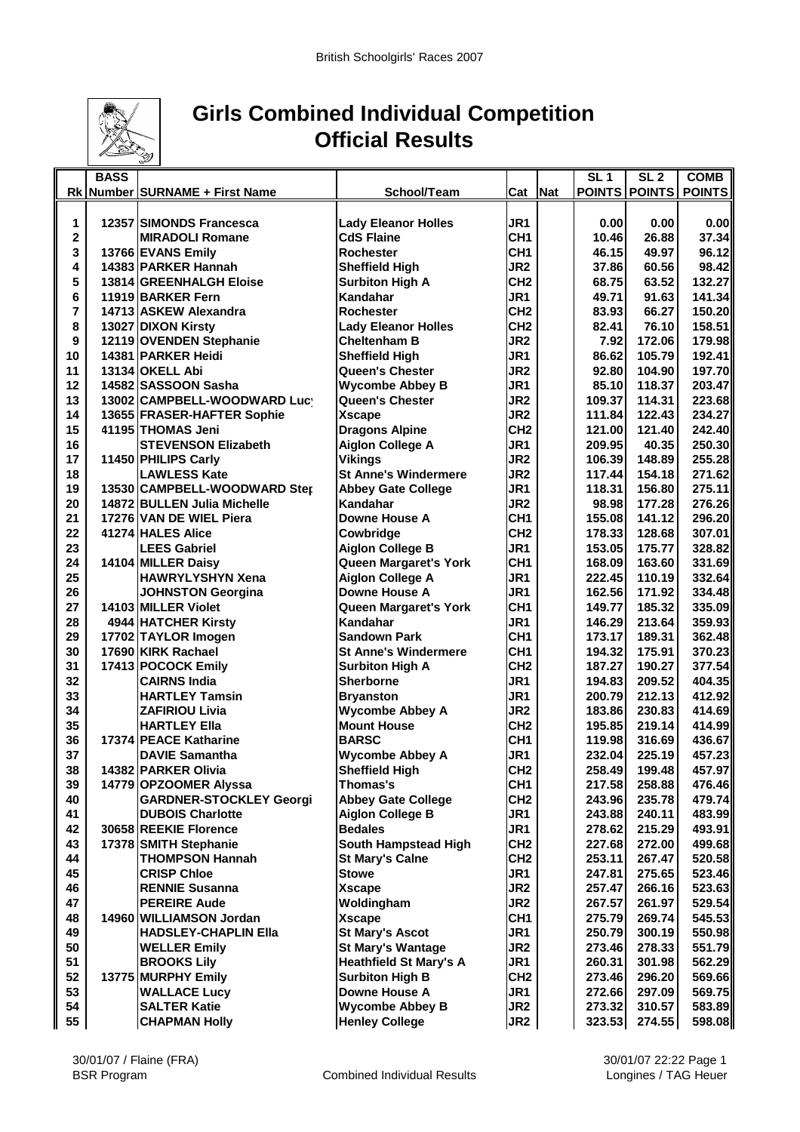

## **Girls Combined Individual Competition Official Results**

|    | <b>BASS</b> |                                |                               |                 |            | SL <sub>1</sub> | SL <sub>2</sub> | <b>COMB</b>   |
|----|-------------|--------------------------------|-------------------------------|-----------------|------------|-----------------|-----------------|---------------|
|    |             | Rk Number SURNAME + First Name | School/Team                   | Cat             | <b>Nat</b> | <b>POINTS</b>   | <b>POINTS</b>   | <b>POINTS</b> |
|    |             |                                |                               |                 |            |                 |                 |               |
| 1  |             | 12357 SIMONDS Francesca        | <b>Lady Eleanor Holles</b>    | JR1             |            | 0.00            | 0.00            | 0.00          |
| 2  |             | <b>MIRADOLI Romane</b>         | <b>CdS Flaine</b>             | CH <sub>1</sub> |            | 10.46           | 26.88           | 37.34         |
| 3  |             | 13766 EVANS Emily              | <b>Rochester</b>              | CH <sub>1</sub> |            | 46.15           | 49.97           | 96.12         |
| 4  |             | 14383 PARKER Hannah            | <b>Sheffield High</b>         | JR <sub>2</sub> |            | 37.86           | 60.56           | 98.42         |
| 5  |             | 13814 GREENHALGH Eloise        | <b>Surbiton High A</b>        | CH <sub>2</sub> |            | 68.75           | 63.52           | 132.27        |
| 6  |             | 11919 BARKER Fern              | Kandahar                      | JR <sub>1</sub> |            | 49.71           | 91.63           | 141.34        |
| 7  |             | 14713 ASKEW Alexandra          | <b>Rochester</b>              | CH <sub>2</sub> |            | 83.93           | 66.27           | 150.20        |
| 8  |             |                                |                               | CH <sub>2</sub> |            | 82.41           | 76.10           | 158.51        |
|    |             | 13027 DIXON Kirsty             | <b>Lady Eleanor Holles</b>    |                 |            |                 |                 |               |
| 9  |             | 12119 OVENDEN Stephanie        | <b>Cheltenham B</b>           | JR <sub>2</sub> |            | 7.92            | 172.06          | 179.98        |
| 10 |             | 14381 PARKER Heidi             | <b>Sheffield High</b>         | JR1             |            | 86.62           | 105.79          | 192.41        |
| 11 |             | 13134 OKELL Abi                | Queen's Chester               | JR2             |            | 92.80           | 104.90          | 197.70        |
| 12 |             | 14582 SASSOON Sasha            | <b>Wycombe Abbey B</b>        | JR <sub>1</sub> |            | 85.10           | 118.37          | 203.47        |
| 13 |             | 13002 CAMPBELL-WOODWARD Lucy   | Queen's Chester               | JR <sub>2</sub> |            | 109.37          | 114.31          | 223.68        |
| 14 |             | 13655 FRASER-HAFTER Sophie     | <b>Xscape</b>                 | JR <sub>2</sub> |            | 111.84          | 122.43          | 234.27        |
| 15 |             | 41195 THOMAS Jeni              | <b>Dragons Alpine</b>         | CH <sub>2</sub> |            | 121.00          | 121.40          | 242.40        |
| 16 |             | <b>STEVENSON Elizabeth</b>     | <b>Aiglon College A</b>       | JR1             |            | 209.95          | 40.35           | 250.30        |
| 17 |             | 11450 PHILIPS Carly            | <b>Vikings</b>                | JR2             |            | 106.39          | 148.89          | 255.28        |
| 18 |             | <b>LAWLESS Kate</b>            | <b>St Anne's Windermere</b>   | JR <sub>2</sub> |            | 117.44          | 154.18          | 271.62        |
| 19 |             | 13530 CAMPBELL-WOODWARD Step   | <b>Abbey Gate College</b>     | JR1             |            | 118.31          | 156.80          | 275.11        |
| 20 |             | 14872 BULLEN Julia Michelle    | Kandahar                      | JR <sub>2</sub> |            | 98.98           | 177.28          | 276.26        |
| 21 |             | 17276 VAN DE WIEL Piera        | <b>Downe House A</b>          | CH <sub>1</sub> |            | 155.08          | 141.12          | 296.20        |
| 22 |             | 41274 HALES Alice              | Cowbridge                     | CH <sub>2</sub> |            | 178.33          | 128.68          | 307.01        |
| 23 |             | <b>LEES Gabriel</b>            | <b>Aiglon College B</b>       | JR <sub>1</sub> |            | 153.05          | 175.77          | 328.82        |
| 24 |             | 14104 MILLER Daisy             | <b>Queen Margaret's York</b>  | CH <sub>1</sub> |            | 168.09          | 163.60          | 331.69        |
| 25 |             | <b>HAWRYLYSHYN Xena</b>        | <b>Aiglon College A</b>       | JR1             |            | 222.45          | 110.19          | 332.64        |
| 26 |             | <b>JOHNSTON Georgina</b>       | Downe House A                 | JR1             |            | 162.56          | 171.92          | 334.48        |
| 27 |             | 14103 MILLER Violet            | Queen Margaret's York         | CH <sub>1</sub> |            | 149.77          | 185.32          | 335.09        |
| 28 |             | 4944 HATCHER Kirsty            | Kandahar                      | JR1             |            | 146.29          | 213.64          | 359.93        |
| 29 |             | 17702 TAYLOR Imogen            | <b>Sandown Park</b>           | CH <sub>1</sub> |            | 173.17          | 189.31          | 362.48        |
| 30 |             | 17690 KIRK Rachael             | <b>St Anne's Windermere</b>   | CH <sub>1</sub> |            | 194.32          | 175.91          | 370.23        |
| 31 |             | 17413 POCOCK Emily             | <b>Surbiton High A</b>        | CH <sub>2</sub> |            | 187.27          | 190.27          | 377.54        |
| 32 |             | <b>CAIRNS India</b>            | Sherborne                     | JR1             |            | 194.83          | 209.52          | 404.35        |
| 33 |             | <b>HARTLEY Tamsin</b>          | <b>Bryanston</b>              | JR <sub>1</sub> |            | 200.79          | 212.13          | 412.92        |
| 34 |             | <b>ZAFIRIOU Livia</b>          | <b>Wycombe Abbey A</b>        | JR <sub>2</sub> |            | 183.86          | 230.83          | 414.69        |
| 35 |             | <b>HARTLEY Ella</b>            | <b>Mount House</b>            | CH <sub>2</sub> |            | 195.85          | 219.14          | 414.99        |
| 36 |             | 17374 PEACE Katharine          | <b>BARSC</b>                  | CH <sub>1</sub> |            | 119.98          | 316.69          | 436.67        |
| 37 |             | <b>DAVIE Samantha</b>          | <b>Wycombe Abbey A</b>        | JR1             |            | 232.04          | 225.19          | 457.23        |
| 38 |             | 14382 PARKER Olivia            | <b>Sheffield High</b>         | CH <sub>2</sub> |            | 258.49          | 199.48          | 457.97        |
| 39 |             | 14779 OPZOOMER Alyssa          | Thomas's                      | CH <sub>1</sub> |            | 217.58          | 258.88          | 476.46        |
| 40 |             | <b>GARDNER-STOCKLEY Georgi</b> | <b>Abbey Gate College</b>     | CH <sub>2</sub> |            | 243.96          | 235.78          | 479.74        |
| 41 |             | <b>DUBOIS Charlotte</b>        | <b>Aiglon College B</b>       | JR1             |            | 243.88          | 240.11          | 483.99        |
| 42 |             | 30658 REEKIE Florence          | <b>Bedales</b>                | JR1             |            | 278.62          | 215.29          | 493.91        |
| 43 |             | 17378 SMITH Stephanie          | South Hampstead High          | CH <sub>2</sub> |            | 227.68          | 272.00          | 499.68        |
| 44 |             | <b>THOMPSON Hannah</b>         | <b>St Mary's Calne</b>        | CH <sub>2</sub> |            | 253.11          | 267.47          | 520.58        |
| 45 |             | <b>CRISP Chloe</b>             | <b>Stowe</b>                  | JR1             |            | 247.81          | 275.65          | 523.46        |
| 46 |             | <b>RENNIE Susanna</b>          | <b>Xscape</b>                 | JR <sub>2</sub> |            | 257.47          | 266.16          | 523.63        |
| 47 |             | <b>PEREIRE Aude</b>            | Woldingham                    | JR <sub>2</sub> |            | 267.57          | 261.97          | 529.54        |
| 48 |             | 14960 WILLIAMSON Jordan        | <b>Xscape</b>                 | CH <sub>1</sub> |            | 275.79          | 269.74          | 545.53        |
| 49 |             | <b>HADSLEY-CHAPLIN Ella</b>    | <b>St Mary's Ascot</b>        | JR1             |            | 250.79          | 300.19          | 550.98        |
| 50 |             | <b>WELLER Emily</b>            | <b>St Mary's Wantage</b>      | JR <sub>2</sub> |            | 273.46          | 278.33          | 551.79        |
| 51 |             | <b>BROOKS Lily</b>             | <b>Heathfield St Mary's A</b> | JR1             |            | 260.31          | 301.98          | 562.29        |
| 52 |             | 13775 MURPHY Emily             | <b>Surbiton High B</b>        | CH <sub>2</sub> |            | 273.46          | 296.20          | 569.66        |
| 53 |             | <b>WALLACE Lucy</b>            | Downe House A                 | JR1             |            | 272.66          | 297.09          | 569.75        |
| 54 |             | <b>SALTER Katie</b>            | <b>Wycombe Abbey B</b>        | JR <sub>2</sub> |            | 273.32          | 310.57          | 583.89        |
| 55 |             | <b>CHAPMAN Holly</b>           | <b>Henley College</b>         | JR <sub>2</sub> |            | 323.53          | 274.55          | 598.08        |
|    |             |                                |                               |                 |            |                 |                 |               |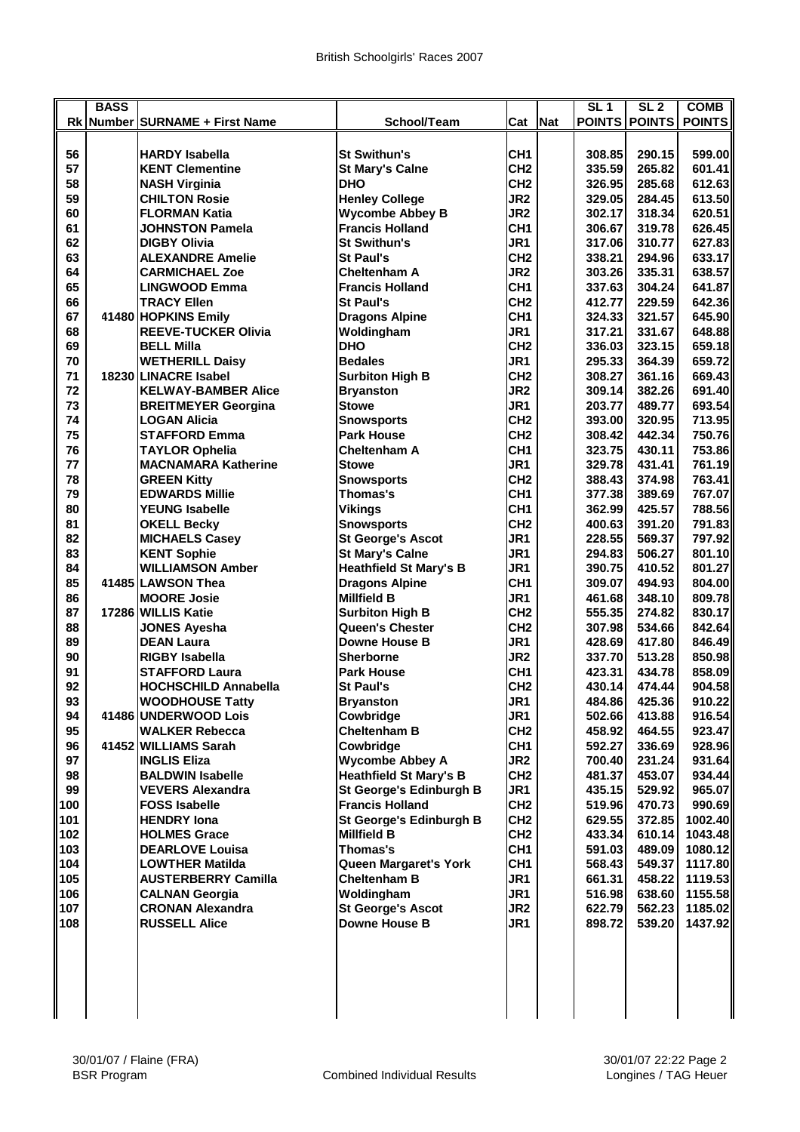|     | <b>BASS</b> |                                |                               |                 |            | SL <sub>1</sub> | SL <sub>2</sub> | <b>COMB</b>   |
|-----|-------------|--------------------------------|-------------------------------|-----------------|------------|-----------------|-----------------|---------------|
|     |             | Rk Number SURNAME + First Name | School/Team                   | Cat             | <b>Nat</b> |                 | POINTS POINTS   | <b>POINTS</b> |
|     |             |                                |                               |                 |            |                 |                 |               |
|     |             |                                |                               |                 |            |                 |                 |               |
| 56  |             | <b>HARDY Isabella</b>          | <b>St Swithun's</b>           | CH <sub>1</sub> |            | 308.85          | 290.15          | 599.00        |
| 57  |             | <b>KENT Clementine</b>         | <b>St Mary's Calne</b>        | CH <sub>2</sub> |            | 335.59          | 265.82          | 601.41        |
| 58  |             | <b>NASH Virginia</b>           | <b>DHO</b>                    | CH <sub>2</sub> |            | 326.95          | 285.68          | 612.63        |
| 59  |             | <b>CHILTON Rosie</b>           | <b>Henley College</b>         | JR <sub>2</sub> |            | 329.05          | 284.45          | 613.50        |
| 60  |             | <b>FLORMAN Katia</b>           | <b>Wycombe Abbey B</b>        | JR <sub>2</sub> |            | 302.17          | 318.34          | 620.51        |
| 61  |             | <b>JOHNSTON Pamela</b>         | <b>Francis Holland</b>        | CH <sub>1</sub> |            | 306.67          | 319.78          | 626.45        |
| 62  |             | <b>DIGBY Olivia</b>            | <b>St Swithun's</b>           | JR <sub>1</sub> |            | 317.06          | 310.77          | 627.83        |
| 63  |             | <b>ALEXANDRE Amelie</b>        | <b>St Paul's</b>              | CH <sub>2</sub> |            | 338.21          | 294.96          | 633.17        |
| 64  |             | <b>CARMICHAEL Zoe</b>          | <b>Cheltenham A</b>           | JR <sub>2</sub> |            | 303.26          | 335.31          | 638.57        |
| 65  |             | <b>LINGWOOD Emma</b>           | <b>Francis Holland</b>        | CH <sub>1</sub> |            | 337.63          | 304.24          | 641.87        |
| 66  |             | <b>TRACY Ellen</b>             | <b>St Paul's</b>              | CH <sub>2</sub> |            | 412.77          | 229.59          | 642.36        |
| 67  |             | 41480 HOPKINS Emily            | <b>Dragons Alpine</b>         | CH <sub>1</sub> |            | 324.33          | 321.57          | 645.90        |
| 68  |             | <b>REEVE-TUCKER Olivia</b>     | Woldingham                    | JR1             |            | 317.21          | 331.67          | 648.88        |
| 69  |             | <b>BELL Milla</b>              | <b>DHO</b>                    | CH <sub>2</sub> |            | 336.03          | 323.15          | 659.18        |
|     |             |                                |                               |                 |            |                 |                 | 659.72        |
| 70  |             | <b>WETHERILL Daisy</b>         | <b>Bedales</b>                | JR <sub>1</sub> |            | 295.33          | 364.39          |               |
| 71  |             | 18230 LINACRE Isabel           | <b>Surbiton High B</b>        | CH <sub>2</sub> |            | 308.27          | 361.16          | 669.43        |
| 72  |             | <b>KELWAY-BAMBER Alice</b>     | <b>Brvanston</b>              | JR <sub>2</sub> |            | 309.14          | 382.26          | 691.40        |
| 73  |             | <b>BREITMEYER Georgina</b>     | <b>Stowe</b>                  | JR <sub>1</sub> |            | 203.77          | 489.77          | 693.54        |
| 74  |             | <b>LOGAN Alicia</b>            | <b>Snowsports</b>             | CH <sub>2</sub> |            | 393.00          | 320.95          | 713.95        |
| 75  |             | <b>STAFFORD Emma</b>           | <b>Park House</b>             | CH <sub>2</sub> |            | 308.42          | 442.34          | 750.76        |
| 76  |             | <b>TAYLOR Ophelia</b>          | Cheltenham A                  | CH <sub>1</sub> |            | 323.75          | 430.11          | 753.86        |
| 77  |             | <b>MACNAMARA Katherine</b>     | <b>Stowe</b>                  | JR <sub>1</sub> |            | 329.78          | 431.41          | 761.19        |
| 78  |             | <b>GREEN Kitty</b>             | <b>Snowsports</b>             | CH <sub>2</sub> |            | 388.43          | 374.98          | 763.41        |
| 79  |             | <b>EDWARDS Millie</b>          | Thomas's                      | CH <sub>1</sub> |            | 377.38          | 389.69          | 767.07        |
| 80  |             | <b>YEUNG Isabelle</b>          | <b>Vikings</b>                | CH <sub>1</sub> |            | 362.99          | 425.57          | 788.56        |
| 81  |             | <b>OKELL Becky</b>             | <b>Snowsports</b>             | CH <sub>2</sub> |            | 400.63          | 391.20          | 791.83        |
| 82  |             | <b>MICHAELS Casey</b>          | <b>St George's Ascot</b>      | JR1             |            | 228.55          | 569.37          | 797.92        |
| 83  |             | <b>KENT Sophie</b>             | <b>St Mary's Calne</b>        | JR <sub>1</sub> |            | 294.83          | 506.27          | 801.10        |
| 84  |             | <b>WILLIAMSON Amber</b>        | <b>Heathfield St Mary's B</b> | JR <sub>1</sub> |            | 390.75          | 410.52          | 801.27        |
| 85  |             | 41485 LAWSON Thea              |                               | CH <sub>1</sub> |            | 309.07          | 494.93          | 804.00        |
|     |             |                                | <b>Dragons Alpine</b>         |                 |            |                 |                 |               |
| 86  |             | <b>MOORE Josie</b>             | <b>Millfield B</b>            | JR1             |            | 461.68          | 348.10          | 809.78        |
| 87  |             | 17286 WILLIS Katie             | <b>Surbiton High B</b>        | CH <sub>2</sub> |            | 555.35          | 274.82          | 830.17        |
| 88  |             | <b>JONES Ayesha</b>            | Queen's Chester               | CH <sub>2</sub> |            | 307.98          | 534.66          | 842.64        |
| 89  |             | <b>DEAN Laura</b>              | <b>Downe House B</b>          | JR1             |            | 428.69          | 417.80          | 846.49        |
| 90  |             | <b>RIGBY Isabella</b>          | <b>Sherborne</b>              | JR <sub>2</sub> |            | 337.70          | 513.28          | 850.98        |
| 91  |             | <b>STAFFORD Laura</b>          | <b>Park House</b>             | CH <sub>1</sub> |            | 423.31          | 434.78          | 858.09        |
| 92  |             | <b>HOCHSCHILD Annabella</b>    | <b>St Paul's</b>              | CH <sub>2</sub> |            | 430.14          | 474.44          | 904.58        |
| 93  |             | <b>WOODHOUSE Tatty</b>         | <b>Bryanston</b>              | JR1             |            | 484.86          | 425.36          | 910.22        |
| 94  |             | 41486 UNDERWOOD Lois           | Cowbridge                     | JR1             |            | 502.66          | 413.88          | 916.54        |
| 95  |             | <b>WALKER Rebecca</b>          | <b>Cheltenham B</b>           | CH <sub>2</sub> |            | 458.92          | 464.55          | 923.47        |
| 96  |             | 41452 WILLIAMS Sarah           | Cowbridge                     | CH <sub>1</sub> |            | 592.27          | 336.69          | 928.96        |
| 97  |             | <b>INGLIS Eliza</b>            | <b>Wycombe Abbey A</b>        | JR2             |            | 700.40          | 231.24          | 931.64        |
| 98  |             | <b>BALDWIN Isabelle</b>        | <b>Heathfield St Mary's B</b> | CH <sub>2</sub> |            | 481.37          | 453.07          | 934.44        |
| 99  |             | <b>VEVERS Alexandra</b>        | St George's Edinburgh B       | JR1             |            | 435.15          | 529.92          | 965.07        |
| 100 |             | <b>FOSS Isabelle</b>           | <b>Francis Holland</b>        | CH <sub>2</sub> |            | 519.96          | 470.73          | 990.69        |
| 101 |             | <b>HENDRY Iona</b>             | St George's Edinburgh B       | CH <sub>2</sub> |            | 629.55          | 372.85          | 1002.40       |
| 102 |             | <b>HOLMES Grace</b>            | <b>Millfield B</b>            | CH <sub>2</sub> |            | 433.34          | 610.14          | 1043.48       |
|     |             |                                | Thomas's                      | CH <sub>1</sub> |            |                 |                 | 1080.12       |
| 103 |             | <b>DEARLOVE Louisa</b>         |                               |                 |            | 591.03          | 489.09          |               |
| 104 |             | <b>LOWTHER Matilda</b>         | Queen Margaret's York         | CH <sub>1</sub> |            | 568.43          | 549.37          | 1117.80       |
| 105 |             | <b>AUSTERBERRY Camilla</b>     | <b>Cheltenham B</b>           | JR1             |            | 661.31          | 458.22          | 1119.53       |
| 106 |             | <b>CALNAN Georgia</b>          | Woldingham                    | JR1             |            | 516.98          | 638.60          | 1155.58       |
| 107 |             | <b>CRONAN Alexandra</b>        | <b>St George's Ascot</b>      | JR <sub>2</sub> |            | 622.79          | 562.23          | 1185.02       |
| 108 |             | <b>RUSSELL Alice</b>           | <b>Downe House B</b>          | JR1             |            | 898.72          | 539.20          | 1437.92       |
|     |             |                                |                               |                 |            |                 |                 |               |
|     |             |                                |                               |                 |            |                 |                 |               |
|     |             |                                |                               |                 |            |                 |                 |               |
|     |             |                                |                               |                 |            |                 |                 |               |
|     |             |                                |                               |                 |            |                 |                 |               |
|     |             |                                |                               |                 |            |                 |                 |               |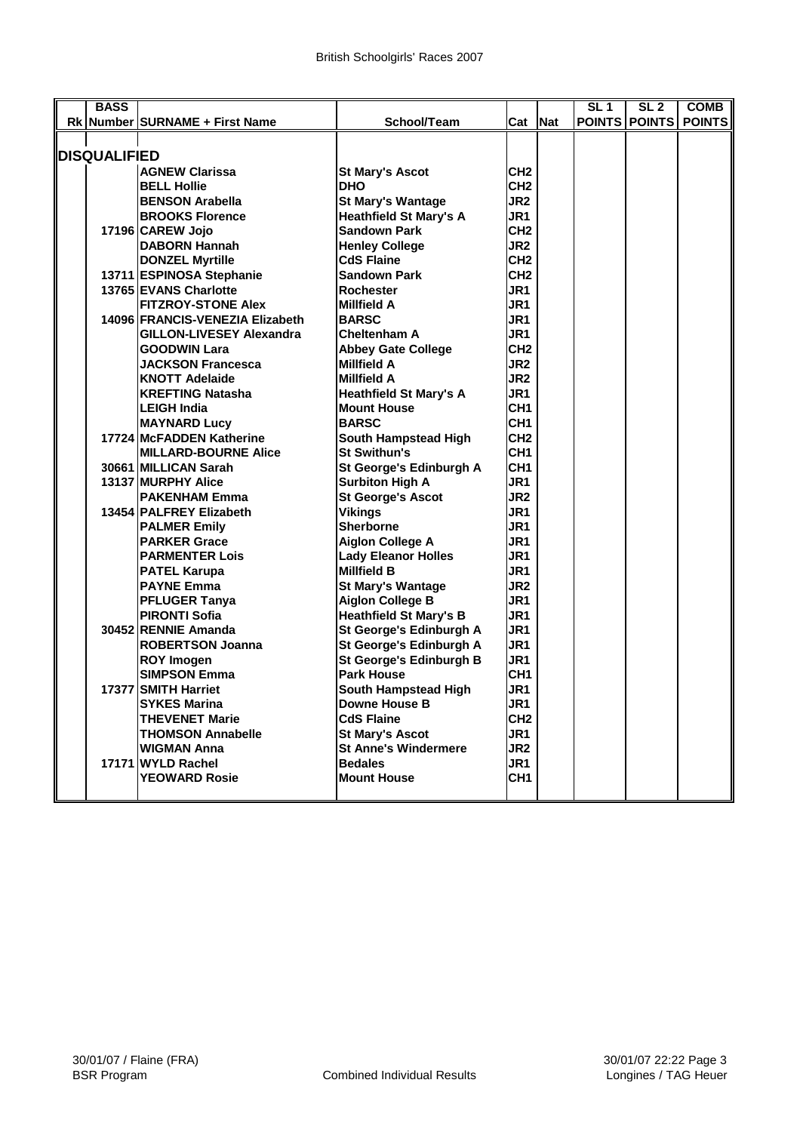| <b>BASS</b>         |                                 |                               |                 | SL <sub>1</sub> | $\overline{SL}$ 2 | <b>COMB</b>   |
|---------------------|---------------------------------|-------------------------------|-----------------|-----------------|-------------------|---------------|
|                     | Rk Number SURNAME + First Name  | School/Team                   | Cat Nat         |                 | POINTS POINTS     | <b>POINTS</b> |
|                     |                                 |                               |                 |                 |                   |               |
| <b>DISQUALIFIED</b> |                                 |                               |                 |                 |                   |               |
|                     | <b>AGNEW Clarissa</b>           | <b>St Mary's Ascot</b>        | CH <sub>2</sub> |                 |                   |               |
|                     | <b>BELL Hollie</b>              | <b>DHO</b>                    | CH <sub>2</sub> |                 |                   |               |
|                     | <b>BENSON Arabella</b>          | <b>St Mary's Wantage</b>      | JR <sub>2</sub> |                 |                   |               |
|                     | <b>BROOKS Florence</b>          | <b>Heathfield St Mary's A</b> | JR1             |                 |                   |               |
|                     | 17196 CAREW Jojo                | <b>Sandown Park</b>           | CH <sub>2</sub> |                 |                   |               |
|                     | <b>DABORN Hannah</b>            | <b>Henley College</b>         | JR <sub>2</sub> |                 |                   |               |
|                     | <b>DONZEL Myrtille</b>          | <b>CdS Flaine</b>             | CH <sub>2</sub> |                 |                   |               |
|                     | 13711 ESPINOSA Stephanie        | <b>Sandown Park</b>           | CH <sub>2</sub> |                 |                   |               |
|                     | <b>13765 EVANS Charlotte</b>    | <b>Rochester</b>              | JR1             |                 |                   |               |
|                     | <b>FITZROY-STONE Alex</b>       | <b>Millfield A</b>            | JR <sub>1</sub> |                 |                   |               |
|                     | 14096 FRANCIS-VENEZIA Elizabeth | <b>BARSC</b>                  | JR <sub>1</sub> |                 |                   |               |
|                     | <b>GILLON-LIVESEY Alexandra</b> | Cheltenham A                  | JR1             |                 |                   |               |
|                     | <b>GOODWIN Lara</b>             | <b>Abbey Gate College</b>     | CH <sub>2</sub> |                 |                   |               |
|                     | <b>JACKSON Francesca</b>        | <b>Millfield A</b>            | JR <sub>2</sub> |                 |                   |               |
|                     | <b>KNOTT Adelaide</b>           | <b>Millfield A</b>            | JR <sub>2</sub> |                 |                   |               |
|                     | <b>KREFTING Natasha</b>         | <b>Heathfield St Mary's A</b> | JR <sub>1</sub> |                 |                   |               |
|                     | <b>LEIGH India</b>              | <b>Mount House</b>            | CH <sub>1</sub> |                 |                   |               |
|                     | <b>MAYNARD Lucy</b>             | <b>BARSC</b>                  | CH <sub>1</sub> |                 |                   |               |
|                     | 17724 McFADDEN Katherine        | South Hampstead High          | CH <sub>2</sub> |                 |                   |               |
|                     | <b>MILLARD-BOURNE Alice</b>     | <b>St Swithun's</b>           | CH <sub>1</sub> |                 |                   |               |
|                     | 30661 MILLICAN Sarah            | St George's Edinburgh A       | CH <sub>1</sub> |                 |                   |               |
|                     | 13137 MURPHY Alice              | <b>Surbiton High A</b>        | JR <sub>1</sub> |                 |                   |               |
|                     | <b>PAKENHAM Emma</b>            | <b>St George's Ascot</b>      | JR <sub>2</sub> |                 |                   |               |
|                     | 13454 PALFREY Elizabeth         | <b>Vikings</b>                | JR <sub>1</sub> |                 |                   |               |
|                     | <b>PALMER Emily</b>             | <b>Sherborne</b>              | JR <sub>1</sub> |                 |                   |               |
|                     | <b>PARKER Grace</b>             | <b>Aiglon College A</b>       | JR <sub>1</sub> |                 |                   |               |
|                     | <b>PARMENTER Lois</b>           | <b>Lady Eleanor Holles</b>    | JR1             |                 |                   |               |
|                     | <b>PATEL Karupa</b>             | <b>Millfield B</b>            | JR <sub>1</sub> |                 |                   |               |
|                     | <b>PAYNE Emma</b>               | <b>St Mary's Wantage</b>      | JR <sub>2</sub> |                 |                   |               |
|                     | <b>PFLUGER Tanya</b>            | <b>Aiglon College B</b>       | JR <sub>1</sub> |                 |                   |               |
|                     | <b>PIRONTI Sofia</b>            | <b>Heathfield St Mary's B</b> | JR <sub>1</sub> |                 |                   |               |
|                     | 30452 RENNIE Amanda             | St George's Edinburgh A       | JR <sub>1</sub> |                 |                   |               |
|                     | <b>ROBERTSON Joanna</b>         | St George's Edinburgh A       | JR <sub>1</sub> |                 |                   |               |
|                     | <b>ROY Imogen</b>               | St George's Edinburgh B       | JR <sub>1</sub> |                 |                   |               |
|                     | <b>SIMPSON Emma</b>             | <b>Park House</b>             | CH <sub>1</sub> |                 |                   |               |
|                     | 17377 SMITH Harriet             | South Hampstead High          | JR <sub>1</sub> |                 |                   |               |
|                     | <b>SYKES Marina</b>             | <b>Downe House B</b>          | JR1             |                 |                   |               |
|                     | <b>THEVENET Marie</b>           | <b>CdS Flaine</b>             | CH <sub>2</sub> |                 |                   |               |
|                     | <b>THOMSON Annabelle</b>        | <b>St Mary's Ascot</b>        | JR1             |                 |                   |               |
|                     | <b>WIGMAN Anna</b>              | <b>St Anne's Windermere</b>   | JR <sub>2</sub> |                 |                   |               |
|                     | 17171 WYLD Rachel               | <b>Bedales</b>                | JR1             |                 |                   |               |
|                     | <b>YEOWARD Rosie</b>            | <b>Mount House</b>            | CH <sub>1</sub> |                 |                   |               |
|                     |                                 |                               |                 |                 |                   |               |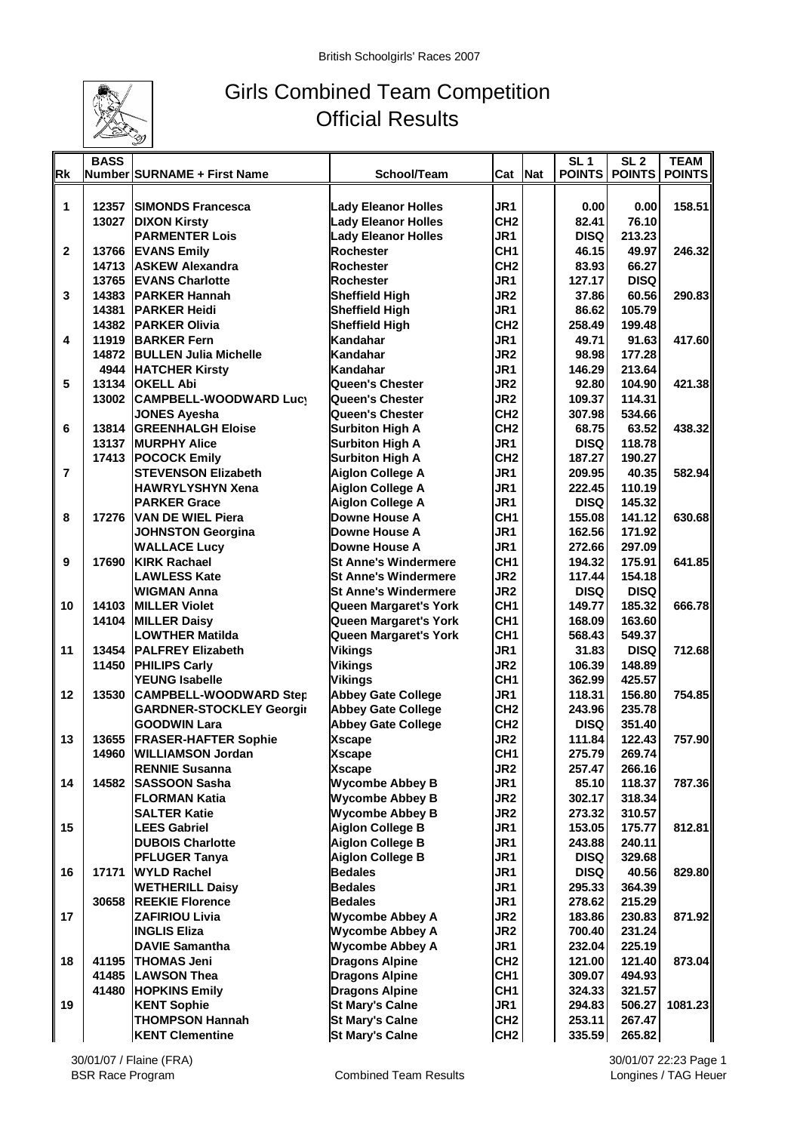

## Girls Combined Team Competition Official Results

|                | <b>BASS</b> |                                 |                             |                 | SL <sub>1</sub> | SL <sub>2</sub> | <b>TEAM</b>   |
|----------------|-------------|---------------------------------|-----------------------------|-----------------|-----------------|-----------------|---------------|
| Rk             |             | Number SURNAME + First Name     | School/Team                 | Cat Nat         | <b>POINTS</b>   | <b>POINTS</b>   | <b>POINTS</b> |
|                |             |                                 |                             |                 |                 |                 |               |
| 1              | 12357       | <b>ISIMONDS Francesca</b>       | <b>Lady Eleanor Holles</b>  | JR <sub>1</sub> | 0.00            | 0.00            | 158.51        |
|                | 13027       | <b>DIXON Kirsty</b>             | <b>Lady Eleanor Holles</b>  | CH <sub>2</sub> | 82.41           | 76.10           |               |
|                |             | <b>PARMENTER Lois</b>           | <b>Lady Eleanor Holles</b>  | JR1             | <b>DISQ</b>     | 213.23          |               |
| $\mathbf{2}$   |             | 13766 EVANS Emily               | <b>Rochester</b>            | CH <sub>1</sub> | 46.15           | 49.97           | 246.32        |
|                |             | 14713 ASKEW Alexandra           | <b>Rochester</b>            | CH <sub>2</sub> | 83.93           | 66.27           |               |
|                |             |                                 |                             |                 |                 |                 |               |
|                |             | 13765 EVANS Charlotte           | <b>Rochester</b>            | JR <sub>1</sub> | 127.17          | <b>DISQ</b>     |               |
| 3              |             | 14383 PARKER Hannah             | <b>Sheffield High</b>       | JR <sub>2</sub> | 37.86           | 60.56           | 290.83        |
|                |             | 14381 PARKER Heidi              | <b>Sheffield High</b>       | JR1             | 86.62           | 105.79          |               |
|                |             | 14382 PARKER Olivia             | <b>Sheffield High</b>       | CH <sub>2</sub> | 258.49          | 199.48          |               |
| 4              |             | 11919 BARKER Fern               | Kandahar                    | JR <sub>1</sub> | 49.71           | 91.63           | 417.60        |
|                |             | 14872 BULLEN Julia Michelle     | Kandahar                    | JR <sub>2</sub> | 98.98           | 177.28          |               |
|                |             | 4944 HATCHER Kirsty             | Kandahar                    | JR <sub>1</sub> | 146.29          | 213.64          |               |
| 5              |             | 13134   OKELL Abi               | <b>Queen's Chester</b>      | JR <sub>2</sub> | 92.80           | 104.90          | 421.38        |
|                |             | 13002 CAMPBELL-WOODWARD Lucy    | <b>Queen's Chester</b>      | JR <sub>2</sub> | 109.37          | 114.31          |               |
|                |             | <b>JONES Ayesha</b>             | Queen's Chester             | CH <sub>2</sub> | 307.98          | 534.66          |               |
| 6              |             | <b>13814 GREENHALGH Eloise</b>  | <b>Surbiton High A</b>      | CH <sub>2</sub> | 68.75           | 63.52           | 438.32        |
|                |             | <b>13137 IMURPHY Alice</b>      | <b>Surbiton High A</b>      | JR1             | <b>DISQ</b>     | 118.78          |               |
|                |             | 17413 POCOCK Emily              | <b>Surbiton High A</b>      | CH <sub>2</sub> | 187.27          | 190.27          |               |
| $\overline{7}$ |             | <b>STEVENSON Elizabeth</b>      | <b>Aiglon College A</b>     | JR <sub>1</sub> | 209.95          | 40.35           | 582.94        |
|                |             | <b>HAWRYLYSHYN Xena</b>         | <b>Aiglon College A</b>     | JR1             | 222.45          | 110.19          |               |
|                |             | <b>PARKER Grace</b>             | <b>Aiglon College A</b>     | JR1             | <b>DISQ</b>     | 145.32          |               |
| 8              |             | 17276 VAN DE WIEL Piera         | <b>Downe House A</b>        | CH <sub>1</sub> | 155.08          | 141.12          | 630.68        |
|                |             |                                 | Downe House A               | JR1             | 162.56          | 171.92          |               |
|                |             | <b>JOHNSTON Georgina</b>        |                             |                 |                 |                 |               |
|                |             | <b>WALLACE Lucy</b>             | <b>Downe House A</b>        | JR1             | 272.66          | 297.09          |               |
| 9              | 17690       | <b>KIRK Rachael</b>             | <b>St Anne's Windermere</b> | CH <sub>1</sub> | 194.32          | 175.91          | 641.85        |
|                |             | <b>LAWLESS Kate</b>             | <b>St Anne's Windermere</b> | JR <sub>2</sub> | 117.44          | 154.18          |               |
|                |             | <b>WIGMAN Anna</b>              | <b>St Anne's Windermere</b> | JR <sub>2</sub> | <b>DISQ</b>     | <b>DISQ</b>     |               |
| 10             |             | 14103 MILLER Violet             | Queen Margaret's York       | CH <sub>1</sub> | 149.77          | 185.32          | 666.78        |
|                |             | 14104 MILLER Daisy              | Queen Margaret's York       | CH <sub>1</sub> | 168.09          | 163.60          |               |
|                |             | <b>LOWTHER Matilda</b>          | Queen Margaret's York       | CH <sub>1</sub> | 568.43          | 549.37          |               |
| 11             |             | 13454 PALFREY Elizabeth         | <b>Vikings</b>              | JR <sub>1</sub> | 31.83           | <b>DISQ</b>     | 712.68        |
|                | 11450       | <b>PHILIPS Carly</b>            | <b>Vikings</b>              | JR <sub>2</sub> | 106.39          | 148.89          |               |
|                |             | <b>YEUNG Isabelle</b>           | <b>Vikings</b>              | CH <sub>1</sub> | 362.99          | 425.57          |               |
| 12             | 13530       | <b>CAMPBELL-WOODWARD Step</b>   | <b>Abbey Gate College</b>   | JR <sub>1</sub> | 118.31          | 156.80          | 754.85        |
|                |             | <b>GARDNER-STOCKLEY Georgir</b> | <b>Abbey Gate College</b>   | CH <sub>2</sub> | 243.96          | 235.78          |               |
|                |             | <b>GOODWIN Lara</b>             | <b>Abbey Gate College</b>   | CH <sub>2</sub> | <b>DISQ</b>     | 351.40          |               |
| 13             |             | 13655 FRASER-HAFTER Sophie      | <b>Xscape</b>               | JR <sub>2</sub> | 111.84          | 122.43          | 757.90        |
|                |             |                                 | <b>Xscape</b>               | CH <sub>1</sub> | 275.79          | 269.74          |               |
|                |             | 14960 WILLIAMSON Jordan         |                             |                 |                 |                 |               |
|                |             | <b>RENNIE Susanna</b>           | <b>Xscape</b>               | JR <sub>2</sub> | 257.47          | 266.16          |               |
| 14             |             | 14582 SASSOON Sasha             | <b>Wycombe Abbey B</b>      | JR1             | 85.10           | 118.37          | 787.36        |
|                |             | <b>FLORMAN Katia</b>            | <b>Wycombe Abbey B</b>      | JR <sub>2</sub> | 302.17          | 318.34          |               |
|                |             | <b>SALTER Katie</b>             | <b>Wycombe Abbey B</b>      | JR <sub>2</sub> | 273.32          | 310.57          |               |
| 15             |             | <b>LEES Gabriel</b>             | <b>Aiglon College B</b>     | JR1             | 153.05          | 175.77          | 812.81        |
|                |             | <b>DUBOIS Charlotte</b>         | <b>Aiglon College B</b>     | JR1             | 243.88          | 240.11          |               |
|                |             | <b>PFLUGER Tanya</b>            | <b>Aiglon College B</b>     | JR1             | <b>DISQ</b>     | 329.68          |               |
| 16             | 17171       | <b>WYLD Rachel</b>              | <b>Bedales</b>              | JR <sub>1</sub> | <b>DISQ</b>     | 40.56           | 829.80        |
|                |             | <b>WETHERILL Daisy</b>          | <b>Bedales</b>              | JR1             | 295.33          | 364.39          |               |
|                | 30658       | <b>REEKIE Florence</b>          | <b>Bedales</b>              | JR1             | 278.62          | 215.29          |               |
| 17             |             | <b>ZAFIRIOU Livia</b>           | <b>Wycombe Abbey A</b>      | JR <sub>2</sub> | 183.86          | 230.83          | 871.92        |
|                |             | <b>INGLIS Eliza</b>             | <b>Wycombe Abbey A</b>      | JR2             | 700.40          | 231.24          |               |
|                |             | <b>DAVIE Samantha</b>           | <b>Wycombe Abbey A</b>      | JR1             | 232.04          | 225.19          |               |
| 18             |             | 41195   THOMAS Jeni             | <b>Dragons Alpine</b>       | CH <sub>2</sub> | 121.00          | 121.40          | 873.04        |
|                |             | 41485  LAWSON Thea              | <b>Dragons Alpine</b>       | CH <sub>1</sub> | 309.07          | 494.93          |               |
|                |             | 41480 HOPKINS Emily             | <b>Dragons Alpine</b>       | CH <sub>1</sub> | 324.33          | 321.57          |               |
|                |             |                                 |                             |                 |                 |                 |               |
| 19             |             | <b>KENT Sophie</b>              | <b>St Mary's Calne</b>      | JR1             | 294.83          | 506.27          | 1081.23       |
|                |             | <b>THOMPSON Hannah</b>          | <b>St Mary's Calne</b>      | CH <sub>2</sub> | 253.11          | 267.47          |               |
|                |             | <b>KENT Clementine</b>          | <b>St Mary's Calne</b>      | CH2             | 335.59          | 265.82          |               |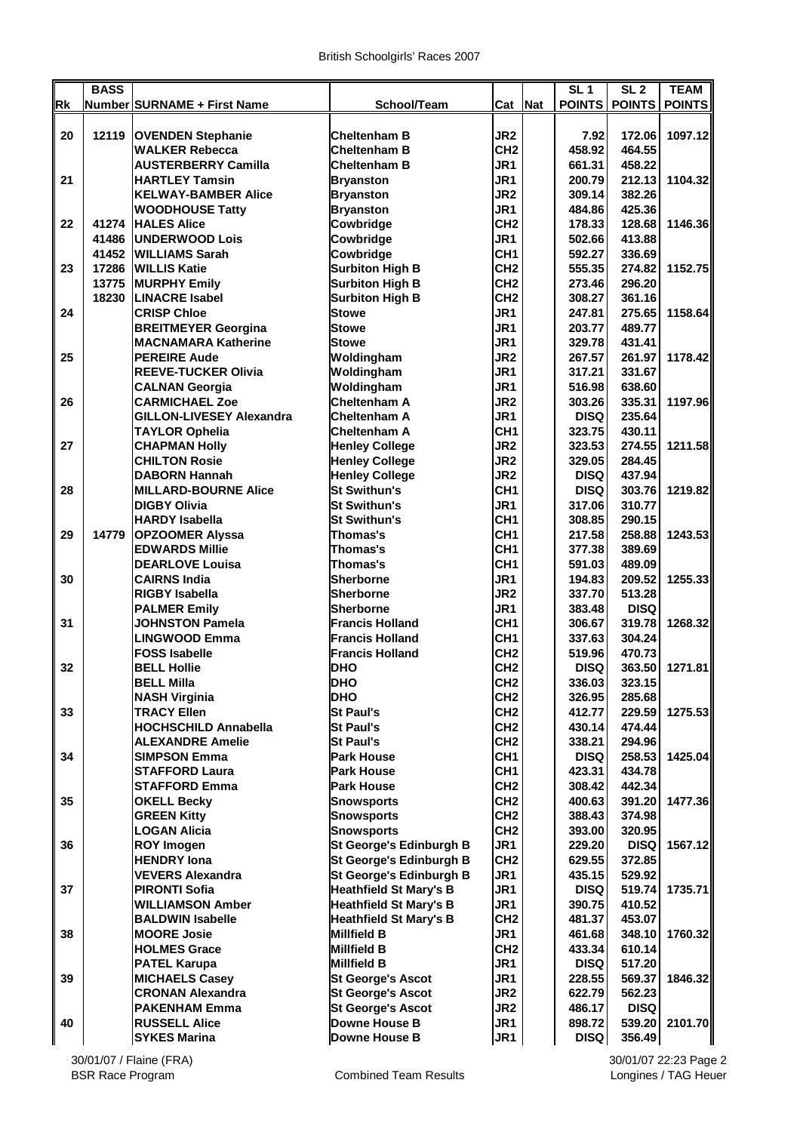| POINTS   POINTS   POINTS<br>Number SURNAME + First Name<br>Cat<br><b>Nat</b><br>School/Team<br>JR <sub>2</sub><br>20<br>12119<br>1097.12<br><b>OVENDEN Stephanie</b><br><b>Cheltenham B</b><br>7.92<br>172.06<br>CH <sub>2</sub><br><b>WALKER Rebecca</b><br>464.55<br><b>Cheltenham B</b><br>458.92<br>JR1<br>458.22<br><b>AUSTERBERRY Camilla</b><br><b>Cheltenham B</b><br>661.31<br>21<br>JR1<br>1104.32<br><b>HARTLEY Tamsin</b><br>200.79<br>212.13<br><b>Bryanston</b><br>JR <sub>2</sub><br><b>Bryanston</b><br>382.26<br><b>KELWAY-BAMBER Alice</b><br>309.14<br>JR1<br><b>WOODHOUSE Tatty</b><br><b>Bryanston</b><br>484.86<br>425.36<br>CH <sub>2</sub><br>1146.36<br>22<br>41274 HALES Alice<br>Cowbridge<br>178.33<br>128.68<br>JR1<br>41486 UNDERWOOD Lois<br>Cowbridge<br>502.66<br>413.88<br>CH <sub>1</sub><br>592.27<br>41452 WILLIAMS Sarah<br>Cowbridge<br>336.69<br>CH <sub>2</sub><br>23<br>17286 WILLIS Katie<br><b>Surbiton High B</b><br>555.35<br>274.82<br>1152.75<br>CH <sub>2</sub><br>13775 MURPHY Emily<br><b>Surbiton High B</b><br>273.46<br>296.20<br>CH <sub>2</sub><br>18230 LINACRE Isabel<br><b>Surbiton High B</b><br>308.27<br>361.16<br>JR1<br><b>Stowe</b><br>1158.64<br>24<br><b>CRISP Chloe</b><br>247.81<br>275.65<br>JR1<br><b>Stowe</b><br><b>BREITMEYER Georgina</b><br>203.77<br>489.77<br>JR1<br><b>MACNAMARA Katherine</b><br><b>Stowe</b><br>329.78<br>431.41<br>25<br>JR <sub>2</sub><br>1178.42<br><b>PEREIRE Aude</b><br>Woldingham<br>267.57<br>261.97<br>JR1<br><b>REEVE-TUCKER Olivia</b><br>Woldingham<br>331.67<br>317.21<br>JR1<br>Woldingham<br>516.98<br>638.60<br><b>CALNAN Georgia</b><br>JR <sub>2</sub><br><b>Cheltenham A</b><br>1197.96<br>26<br><b>CARMICHAEL Zoe</b><br>303.26<br>335.31<br>JR1<br><b>GILLON-LIVESEY Alexandra</b><br><b>Cheltenham A</b><br><b>DISQ</b><br>235.64<br>CH <sub>1</sub><br><b>Cheltenham A</b><br>323.75<br>430.11<br><b>TAYLOR Ophelia</b><br>JR <sub>2</sub><br>27<br>1211.58<br><b>Henley College</b><br>323.53<br>274.55<br><b>CHAPMAN Holly</b><br>JR <sub>2</sub><br><b>CHILTON Rosie</b><br><b>Henley College</b><br>329.05<br>284.45<br>JR <sub>2</sub><br><b>DABORN Hannah</b><br><b>Henley College</b><br><b>DISQ</b><br>437.94<br>CH <sub>1</sub><br><b>St Swithun's</b><br><b>DISQ</b><br>1219.82<br>28<br>303.76<br><b>MILLARD-BOURNE Alice</b><br>JR1<br>317.06<br><b>DIGBY Olivia</b><br><b>St Swithun's</b><br>310.77<br>CH <sub>1</sub><br><b>HARDY Isabella</b><br><b>St Swithun's</b><br>308.85<br>290.15<br>CH <sub>1</sub><br>29<br>14779<br>1243.53<br><b>OPZOOMER Alyssa</b><br>Thomas's<br>217.58<br>258.88<br>CH <sub>1</sub><br><b>EDWARDS Millie</b><br><b>Thomas's</b><br>377.38<br>389.69<br>CH <sub>1</sub><br><b>DEARLOVE Louisa</b><br>Thomas's<br>591.03<br>489.09<br>JR1<br>30<br>1255.33<br><b>CAIRNS India</b><br><b>Sherborne</b><br>194.83<br>209.52<br>JR <sub>2</sub><br><b>Sherborne</b><br>337.70<br>513.28<br><b>RIGBY Isabella</b><br>JR1<br><b>Sherborne</b><br>383.48<br><b>DISQ</b><br><b>PALMER Emily</b><br>31<br>CH <sub>1</sub><br>1268.32<br><b>JOHNSTON Pamela</b><br><b>Francis Holland</b><br>306.67<br>319.78<br>CH <sub>1</sub><br><b>LINGWOOD Emma</b><br><b>Francis Holland</b><br>304.24<br>337.63<br>CH <sub>2</sub><br><b>FOSS Isabelle</b><br><b>Francis Holland</b><br>519.96<br>470.73<br>CH <sub>2</sub><br>32<br><b>DISQ</b><br>363.50 1271.81<br><b>BELL Hollie</b><br><b>DHO</b><br>CH <sub>2</sub><br><b>BELL Milla</b><br><b>DHO</b><br>336.03<br>323.15<br>CH <sub>2</sub><br><b>DHO</b><br><b>NASH Virginia</b><br>326.95<br>285.68<br>CH <sub>2</sub><br>33<br><b>TRACY Ellen</b><br><b>St Paul's</b><br>412.77<br>229.59 1275.53<br>CH <sub>2</sub><br>474.44<br><b>HOCHSCHILD Annabella</b><br><b>St Paul's</b><br>430.14<br>CH <sub>2</sub><br><b>ALEXANDRE Amelie</b><br>338.21<br>294.96<br><b>St Paul's</b><br>CH <sub>1</sub><br>34<br><b>SIMPSON Emma</b><br><b>Park House</b><br><b>DISQ</b><br>258.53<br>1425.04<br>CH <sub>1</sub><br><b>STAFFORD Laura</b><br><b>Park House</b><br>423.31<br>434.78<br>CH <sub>2</sub><br><b>Park House</b><br>308.42<br>442.34<br><b>STAFFORD Emma</b><br>CH <sub>2</sub><br>35<br>400.63<br>391.20<br>1477.36<br><b>OKELL Becky</b><br><b>Snowsports</b><br>CH <sub>2</sub><br><b>GREEN Kitty</b><br><b>Snowsports</b><br>388.43<br>374.98<br>CH <sub>2</sub><br><b>LOGAN Alicia</b><br>393.00<br>320.95<br><b>Snowsports</b><br>JR1<br>36<br>St George's Edinburgh B<br>229.20<br>1567.12<br><b>ROY Imogen</b><br><b>DISQ</b><br>CH <sub>2</sub><br><b>HENDRY Iona</b><br>St George's Edinburgh B<br>629.55<br>372.85<br>JR1<br><b>VEVERS Alexandra</b><br>St George's Edinburgh B<br>435.15<br>529.92<br>37<br><b>Heathfield St Mary's B</b><br>JR1<br>519.74 1735.71<br><b>PIRONTI Sofia</b><br><b>DISQ</b><br><b>Heathfield St Mary's B</b><br>JR1<br><b>WILLIAMSON Amber</b><br>390.75<br>410.52<br>CH <sub>2</sub><br><b>BALDWIN Isabelle</b><br><b>Heathfield St Mary's B</b><br>453.07<br>481.37<br>JR1<br>38<br><b>MOORE Josie</b><br><b>Millfield B</b><br>348.10 1760.32<br>461.68<br>CH <sub>2</sub><br><b>HOLMES Grace</b><br><b>Millfield B</b><br>610.14<br>433.34<br>JR1<br><b>PATEL Karupa</b><br><b>Millfield B</b><br><b>DISQ</b><br>517.20<br>39<br><b>MICHAELS Casey</b><br>JR1<br>569.37<br>1846.32<br><b>St George's Ascot</b><br>228.55<br><b>CRONAN Alexandra</b><br><b>St George's Ascot</b><br>JR2<br>622.79<br>562.23<br>JR <sub>2</sub><br><b>PAKENHAM Emma</b><br><b>St George's Ascot</b><br>486.17<br><b>DISQ</b><br><b>Downe House B</b><br>JR <sub>1</sub><br>40<br><b>RUSSELL Alice</b><br>898.72<br>539.20 2101.70<br><b>SYKES Marina</b><br><b>Downe House B</b><br>JR <sub>1</sub><br><b>DISQ</b><br>356.49 |           | <b>BASS</b> |  |  | SL <sub>1</sub> | SL <sub>2</sub> | <b>TEAM</b> |
|--------------------------------------------------------------------------------------------------------------------------------------------------------------------------------------------------------------------------------------------------------------------------------------------------------------------------------------------------------------------------------------------------------------------------------------------------------------------------------------------------------------------------------------------------------------------------------------------------------------------------------------------------------------------------------------------------------------------------------------------------------------------------------------------------------------------------------------------------------------------------------------------------------------------------------------------------------------------------------------------------------------------------------------------------------------------------------------------------------------------------------------------------------------------------------------------------------------------------------------------------------------------------------------------------------------------------------------------------------------------------------------------------------------------------------------------------------------------------------------------------------------------------------------------------------------------------------------------------------------------------------------------------------------------------------------------------------------------------------------------------------------------------------------------------------------------------------------------------------------------------------------------------------------------------------------------------------------------------------------------------------------------------------------------------------------------------------------------------------------------------------------------------------------------------------------------------------------------------------------------------------------------------------------------------------------------------------------------------------------------------------------------------------------------------------------------------------------------------------------------------------------------------------------------------------------------------------------------------------------------------------------------------------------------------------------------------------------------------------------------------------------------------------------------------------------------------------------------------------------------------------------------------------------------------------------------------------------------------------------------------------------------------------------------------------------------------------------------------------------------------------------------------------------------------------------------------------------------------------------------------------------------------------------------------------------------------------------------------------------------------------------------------------------------------------------------------------------------------------------------------------------------------------------------------------------------------------------------------------------------------------------------------------------------------------------------------------------------------------------------------------------------------------------------------------------------------------------------------------------------------------------------------------------------------------------------------------------------------------------------------------------------------------------------------------------------------------------------------------------------------------------------------------------------------------------------------------------------------------------------------------------------------------------------------------------------------------------------------------------------------------------------------------------------------------------------------------------------------------------------------------------------------------------------------------------------------------------------------------------------------------------------------------------------------------------------------------------------------------------------------------------------------------------------------------------------------------------------------------------------------------------------------------------------------------------------------------------------------------------------------------------------------------------------------------------------------------------------------------------------------------------------------------------------------------------------------------------------------------------------------------------------------------------------------------------------------------------------------------------------------------------------------------------------------------------------------------------------------------------------------------------------------------------------------------------------------------------------------------------------------------------------------------------------------------------------------------------------------------------------------------------------------------|-----------|-------------|--|--|-----------------|-----------------|-------------|
|                                                                                                                                                                                                                                                                                                                                                                                                                                                                                                                                                                                                                                                                                                                                                                                                                                                                                                                                                                                                                                                                                                                                                                                                                                                                                                                                                                                                                                                                                                                                                                                                                                                                                                                                                                                                                                                                                                                                                                                                                                                                                                                                                                                                                                                                                                                                                                                                                                                                                                                                                                                                                                                                                                                                                                                                                                                                                                                                                                                                                                                                                                                                                                                                                                                                                                                                                                                                                                                                                                                                                                                                                                                                                                                                                                                                                                                                                                                                                                                                                                                                                                                                                                                                                                                                                                                                                                                                                                                                                                                                                                                                                                                                                                                                                                                                                                                                                                                                                                                                                                                                                                                                                                                                                                                                                                                                                                                                                                                                                                                                                                                                                                                                                                                                                                                | <b>Rk</b> |             |  |  |                 |                 |             |
|                                                                                                                                                                                                                                                                                                                                                                                                                                                                                                                                                                                                                                                                                                                                                                                                                                                                                                                                                                                                                                                                                                                                                                                                                                                                                                                                                                                                                                                                                                                                                                                                                                                                                                                                                                                                                                                                                                                                                                                                                                                                                                                                                                                                                                                                                                                                                                                                                                                                                                                                                                                                                                                                                                                                                                                                                                                                                                                                                                                                                                                                                                                                                                                                                                                                                                                                                                                                                                                                                                                                                                                                                                                                                                                                                                                                                                                                                                                                                                                                                                                                                                                                                                                                                                                                                                                                                                                                                                                                                                                                                                                                                                                                                                                                                                                                                                                                                                                                                                                                                                                                                                                                                                                                                                                                                                                                                                                                                                                                                                                                                                                                                                                                                                                                                                                |           |             |  |  |                 |                 |             |
|                                                                                                                                                                                                                                                                                                                                                                                                                                                                                                                                                                                                                                                                                                                                                                                                                                                                                                                                                                                                                                                                                                                                                                                                                                                                                                                                                                                                                                                                                                                                                                                                                                                                                                                                                                                                                                                                                                                                                                                                                                                                                                                                                                                                                                                                                                                                                                                                                                                                                                                                                                                                                                                                                                                                                                                                                                                                                                                                                                                                                                                                                                                                                                                                                                                                                                                                                                                                                                                                                                                                                                                                                                                                                                                                                                                                                                                                                                                                                                                                                                                                                                                                                                                                                                                                                                                                                                                                                                                                                                                                                                                                                                                                                                                                                                                                                                                                                                                                                                                                                                                                                                                                                                                                                                                                                                                                                                                                                                                                                                                                                                                                                                                                                                                                                                                |           |             |  |  |                 |                 |             |
|                                                                                                                                                                                                                                                                                                                                                                                                                                                                                                                                                                                                                                                                                                                                                                                                                                                                                                                                                                                                                                                                                                                                                                                                                                                                                                                                                                                                                                                                                                                                                                                                                                                                                                                                                                                                                                                                                                                                                                                                                                                                                                                                                                                                                                                                                                                                                                                                                                                                                                                                                                                                                                                                                                                                                                                                                                                                                                                                                                                                                                                                                                                                                                                                                                                                                                                                                                                                                                                                                                                                                                                                                                                                                                                                                                                                                                                                                                                                                                                                                                                                                                                                                                                                                                                                                                                                                                                                                                                                                                                                                                                                                                                                                                                                                                                                                                                                                                                                                                                                                                                                                                                                                                                                                                                                                                                                                                                                                                                                                                                                                                                                                                                                                                                                                                                |           |             |  |  |                 |                 |             |
|                                                                                                                                                                                                                                                                                                                                                                                                                                                                                                                                                                                                                                                                                                                                                                                                                                                                                                                                                                                                                                                                                                                                                                                                                                                                                                                                                                                                                                                                                                                                                                                                                                                                                                                                                                                                                                                                                                                                                                                                                                                                                                                                                                                                                                                                                                                                                                                                                                                                                                                                                                                                                                                                                                                                                                                                                                                                                                                                                                                                                                                                                                                                                                                                                                                                                                                                                                                                                                                                                                                                                                                                                                                                                                                                                                                                                                                                                                                                                                                                                                                                                                                                                                                                                                                                                                                                                                                                                                                                                                                                                                                                                                                                                                                                                                                                                                                                                                                                                                                                                                                                                                                                                                                                                                                                                                                                                                                                                                                                                                                                                                                                                                                                                                                                                                                |           |             |  |  |                 |                 |             |
|                                                                                                                                                                                                                                                                                                                                                                                                                                                                                                                                                                                                                                                                                                                                                                                                                                                                                                                                                                                                                                                                                                                                                                                                                                                                                                                                                                                                                                                                                                                                                                                                                                                                                                                                                                                                                                                                                                                                                                                                                                                                                                                                                                                                                                                                                                                                                                                                                                                                                                                                                                                                                                                                                                                                                                                                                                                                                                                                                                                                                                                                                                                                                                                                                                                                                                                                                                                                                                                                                                                                                                                                                                                                                                                                                                                                                                                                                                                                                                                                                                                                                                                                                                                                                                                                                                                                                                                                                                                                                                                                                                                                                                                                                                                                                                                                                                                                                                                                                                                                                                                                                                                                                                                                                                                                                                                                                                                                                                                                                                                                                                                                                                                                                                                                                                                |           |             |  |  |                 |                 |             |
|                                                                                                                                                                                                                                                                                                                                                                                                                                                                                                                                                                                                                                                                                                                                                                                                                                                                                                                                                                                                                                                                                                                                                                                                                                                                                                                                                                                                                                                                                                                                                                                                                                                                                                                                                                                                                                                                                                                                                                                                                                                                                                                                                                                                                                                                                                                                                                                                                                                                                                                                                                                                                                                                                                                                                                                                                                                                                                                                                                                                                                                                                                                                                                                                                                                                                                                                                                                                                                                                                                                                                                                                                                                                                                                                                                                                                                                                                                                                                                                                                                                                                                                                                                                                                                                                                                                                                                                                                                                                                                                                                                                                                                                                                                                                                                                                                                                                                                                                                                                                                                                                                                                                                                                                                                                                                                                                                                                                                                                                                                                                                                                                                                                                                                                                                                                |           |             |  |  |                 |                 |             |
|                                                                                                                                                                                                                                                                                                                                                                                                                                                                                                                                                                                                                                                                                                                                                                                                                                                                                                                                                                                                                                                                                                                                                                                                                                                                                                                                                                                                                                                                                                                                                                                                                                                                                                                                                                                                                                                                                                                                                                                                                                                                                                                                                                                                                                                                                                                                                                                                                                                                                                                                                                                                                                                                                                                                                                                                                                                                                                                                                                                                                                                                                                                                                                                                                                                                                                                                                                                                                                                                                                                                                                                                                                                                                                                                                                                                                                                                                                                                                                                                                                                                                                                                                                                                                                                                                                                                                                                                                                                                                                                                                                                                                                                                                                                                                                                                                                                                                                                                                                                                                                                                                                                                                                                                                                                                                                                                                                                                                                                                                                                                                                                                                                                                                                                                                                                |           |             |  |  |                 |                 |             |
|                                                                                                                                                                                                                                                                                                                                                                                                                                                                                                                                                                                                                                                                                                                                                                                                                                                                                                                                                                                                                                                                                                                                                                                                                                                                                                                                                                                                                                                                                                                                                                                                                                                                                                                                                                                                                                                                                                                                                                                                                                                                                                                                                                                                                                                                                                                                                                                                                                                                                                                                                                                                                                                                                                                                                                                                                                                                                                                                                                                                                                                                                                                                                                                                                                                                                                                                                                                                                                                                                                                                                                                                                                                                                                                                                                                                                                                                                                                                                                                                                                                                                                                                                                                                                                                                                                                                                                                                                                                                                                                                                                                                                                                                                                                                                                                                                                                                                                                                                                                                                                                                                                                                                                                                                                                                                                                                                                                                                                                                                                                                                                                                                                                                                                                                                                                |           |             |  |  |                 |                 |             |
|                                                                                                                                                                                                                                                                                                                                                                                                                                                                                                                                                                                                                                                                                                                                                                                                                                                                                                                                                                                                                                                                                                                                                                                                                                                                                                                                                                                                                                                                                                                                                                                                                                                                                                                                                                                                                                                                                                                                                                                                                                                                                                                                                                                                                                                                                                                                                                                                                                                                                                                                                                                                                                                                                                                                                                                                                                                                                                                                                                                                                                                                                                                                                                                                                                                                                                                                                                                                                                                                                                                                                                                                                                                                                                                                                                                                                                                                                                                                                                                                                                                                                                                                                                                                                                                                                                                                                                                                                                                                                                                                                                                                                                                                                                                                                                                                                                                                                                                                                                                                                                                                                                                                                                                                                                                                                                                                                                                                                                                                                                                                                                                                                                                                                                                                                                                |           |             |  |  |                 |                 |             |
|                                                                                                                                                                                                                                                                                                                                                                                                                                                                                                                                                                                                                                                                                                                                                                                                                                                                                                                                                                                                                                                                                                                                                                                                                                                                                                                                                                                                                                                                                                                                                                                                                                                                                                                                                                                                                                                                                                                                                                                                                                                                                                                                                                                                                                                                                                                                                                                                                                                                                                                                                                                                                                                                                                                                                                                                                                                                                                                                                                                                                                                                                                                                                                                                                                                                                                                                                                                                                                                                                                                                                                                                                                                                                                                                                                                                                                                                                                                                                                                                                                                                                                                                                                                                                                                                                                                                                                                                                                                                                                                                                                                                                                                                                                                                                                                                                                                                                                                                                                                                                                                                                                                                                                                                                                                                                                                                                                                                                                                                                                                                                                                                                                                                                                                                                                                |           |             |  |  |                 |                 |             |
|                                                                                                                                                                                                                                                                                                                                                                                                                                                                                                                                                                                                                                                                                                                                                                                                                                                                                                                                                                                                                                                                                                                                                                                                                                                                                                                                                                                                                                                                                                                                                                                                                                                                                                                                                                                                                                                                                                                                                                                                                                                                                                                                                                                                                                                                                                                                                                                                                                                                                                                                                                                                                                                                                                                                                                                                                                                                                                                                                                                                                                                                                                                                                                                                                                                                                                                                                                                                                                                                                                                                                                                                                                                                                                                                                                                                                                                                                                                                                                                                                                                                                                                                                                                                                                                                                                                                                                                                                                                                                                                                                                                                                                                                                                                                                                                                                                                                                                                                                                                                                                                                                                                                                                                                                                                                                                                                                                                                                                                                                                                                                                                                                                                                                                                                                                                |           |             |  |  |                 |                 |             |
|                                                                                                                                                                                                                                                                                                                                                                                                                                                                                                                                                                                                                                                                                                                                                                                                                                                                                                                                                                                                                                                                                                                                                                                                                                                                                                                                                                                                                                                                                                                                                                                                                                                                                                                                                                                                                                                                                                                                                                                                                                                                                                                                                                                                                                                                                                                                                                                                                                                                                                                                                                                                                                                                                                                                                                                                                                                                                                                                                                                                                                                                                                                                                                                                                                                                                                                                                                                                                                                                                                                                                                                                                                                                                                                                                                                                                                                                                                                                                                                                                                                                                                                                                                                                                                                                                                                                                                                                                                                                                                                                                                                                                                                                                                                                                                                                                                                                                                                                                                                                                                                                                                                                                                                                                                                                                                                                                                                                                                                                                                                                                                                                                                                                                                                                                                                |           |             |  |  |                 |                 |             |
|                                                                                                                                                                                                                                                                                                                                                                                                                                                                                                                                                                                                                                                                                                                                                                                                                                                                                                                                                                                                                                                                                                                                                                                                                                                                                                                                                                                                                                                                                                                                                                                                                                                                                                                                                                                                                                                                                                                                                                                                                                                                                                                                                                                                                                                                                                                                                                                                                                                                                                                                                                                                                                                                                                                                                                                                                                                                                                                                                                                                                                                                                                                                                                                                                                                                                                                                                                                                                                                                                                                                                                                                                                                                                                                                                                                                                                                                                                                                                                                                                                                                                                                                                                                                                                                                                                                                                                                                                                                                                                                                                                                                                                                                                                                                                                                                                                                                                                                                                                                                                                                                                                                                                                                                                                                                                                                                                                                                                                                                                                                                                                                                                                                                                                                                                                                |           |             |  |  |                 |                 |             |
|                                                                                                                                                                                                                                                                                                                                                                                                                                                                                                                                                                                                                                                                                                                                                                                                                                                                                                                                                                                                                                                                                                                                                                                                                                                                                                                                                                                                                                                                                                                                                                                                                                                                                                                                                                                                                                                                                                                                                                                                                                                                                                                                                                                                                                                                                                                                                                                                                                                                                                                                                                                                                                                                                                                                                                                                                                                                                                                                                                                                                                                                                                                                                                                                                                                                                                                                                                                                                                                                                                                                                                                                                                                                                                                                                                                                                                                                                                                                                                                                                                                                                                                                                                                                                                                                                                                                                                                                                                                                                                                                                                                                                                                                                                                                                                                                                                                                                                                                                                                                                                                                                                                                                                                                                                                                                                                                                                                                                                                                                                                                                                                                                                                                                                                                                                                |           |             |  |  |                 |                 |             |
|                                                                                                                                                                                                                                                                                                                                                                                                                                                                                                                                                                                                                                                                                                                                                                                                                                                                                                                                                                                                                                                                                                                                                                                                                                                                                                                                                                                                                                                                                                                                                                                                                                                                                                                                                                                                                                                                                                                                                                                                                                                                                                                                                                                                                                                                                                                                                                                                                                                                                                                                                                                                                                                                                                                                                                                                                                                                                                                                                                                                                                                                                                                                                                                                                                                                                                                                                                                                                                                                                                                                                                                                                                                                                                                                                                                                                                                                                                                                                                                                                                                                                                                                                                                                                                                                                                                                                                                                                                                                                                                                                                                                                                                                                                                                                                                                                                                                                                                                                                                                                                                                                                                                                                                                                                                                                                                                                                                                                                                                                                                                                                                                                                                                                                                                                                                |           |             |  |  |                 |                 |             |
|                                                                                                                                                                                                                                                                                                                                                                                                                                                                                                                                                                                                                                                                                                                                                                                                                                                                                                                                                                                                                                                                                                                                                                                                                                                                                                                                                                                                                                                                                                                                                                                                                                                                                                                                                                                                                                                                                                                                                                                                                                                                                                                                                                                                                                                                                                                                                                                                                                                                                                                                                                                                                                                                                                                                                                                                                                                                                                                                                                                                                                                                                                                                                                                                                                                                                                                                                                                                                                                                                                                                                                                                                                                                                                                                                                                                                                                                                                                                                                                                                                                                                                                                                                                                                                                                                                                                                                                                                                                                                                                                                                                                                                                                                                                                                                                                                                                                                                                                                                                                                                                                                                                                                                                                                                                                                                                                                                                                                                                                                                                                                                                                                                                                                                                                                                                |           |             |  |  |                 |                 |             |
|                                                                                                                                                                                                                                                                                                                                                                                                                                                                                                                                                                                                                                                                                                                                                                                                                                                                                                                                                                                                                                                                                                                                                                                                                                                                                                                                                                                                                                                                                                                                                                                                                                                                                                                                                                                                                                                                                                                                                                                                                                                                                                                                                                                                                                                                                                                                                                                                                                                                                                                                                                                                                                                                                                                                                                                                                                                                                                                                                                                                                                                                                                                                                                                                                                                                                                                                                                                                                                                                                                                                                                                                                                                                                                                                                                                                                                                                                                                                                                                                                                                                                                                                                                                                                                                                                                                                                                                                                                                                                                                                                                                                                                                                                                                                                                                                                                                                                                                                                                                                                                                                                                                                                                                                                                                                                                                                                                                                                                                                                                                                                                                                                                                                                                                                                                                |           |             |  |  |                 |                 |             |
|                                                                                                                                                                                                                                                                                                                                                                                                                                                                                                                                                                                                                                                                                                                                                                                                                                                                                                                                                                                                                                                                                                                                                                                                                                                                                                                                                                                                                                                                                                                                                                                                                                                                                                                                                                                                                                                                                                                                                                                                                                                                                                                                                                                                                                                                                                                                                                                                                                                                                                                                                                                                                                                                                                                                                                                                                                                                                                                                                                                                                                                                                                                                                                                                                                                                                                                                                                                                                                                                                                                                                                                                                                                                                                                                                                                                                                                                                                                                                                                                                                                                                                                                                                                                                                                                                                                                                                                                                                                                                                                                                                                                                                                                                                                                                                                                                                                                                                                                                                                                                                                                                                                                                                                                                                                                                                                                                                                                                                                                                                                                                                                                                                                                                                                                                                                |           |             |  |  |                 |                 |             |
|                                                                                                                                                                                                                                                                                                                                                                                                                                                                                                                                                                                                                                                                                                                                                                                                                                                                                                                                                                                                                                                                                                                                                                                                                                                                                                                                                                                                                                                                                                                                                                                                                                                                                                                                                                                                                                                                                                                                                                                                                                                                                                                                                                                                                                                                                                                                                                                                                                                                                                                                                                                                                                                                                                                                                                                                                                                                                                                                                                                                                                                                                                                                                                                                                                                                                                                                                                                                                                                                                                                                                                                                                                                                                                                                                                                                                                                                                                                                                                                                                                                                                                                                                                                                                                                                                                                                                                                                                                                                                                                                                                                                                                                                                                                                                                                                                                                                                                                                                                                                                                                                                                                                                                                                                                                                                                                                                                                                                                                                                                                                                                                                                                                                                                                                                                                |           |             |  |  |                 |                 |             |
|                                                                                                                                                                                                                                                                                                                                                                                                                                                                                                                                                                                                                                                                                                                                                                                                                                                                                                                                                                                                                                                                                                                                                                                                                                                                                                                                                                                                                                                                                                                                                                                                                                                                                                                                                                                                                                                                                                                                                                                                                                                                                                                                                                                                                                                                                                                                                                                                                                                                                                                                                                                                                                                                                                                                                                                                                                                                                                                                                                                                                                                                                                                                                                                                                                                                                                                                                                                                                                                                                                                                                                                                                                                                                                                                                                                                                                                                                                                                                                                                                                                                                                                                                                                                                                                                                                                                                                                                                                                                                                                                                                                                                                                                                                                                                                                                                                                                                                                                                                                                                                                                                                                                                                                                                                                                                                                                                                                                                                                                                                                                                                                                                                                                                                                                                                                |           |             |  |  |                 |                 |             |
|                                                                                                                                                                                                                                                                                                                                                                                                                                                                                                                                                                                                                                                                                                                                                                                                                                                                                                                                                                                                                                                                                                                                                                                                                                                                                                                                                                                                                                                                                                                                                                                                                                                                                                                                                                                                                                                                                                                                                                                                                                                                                                                                                                                                                                                                                                                                                                                                                                                                                                                                                                                                                                                                                                                                                                                                                                                                                                                                                                                                                                                                                                                                                                                                                                                                                                                                                                                                                                                                                                                                                                                                                                                                                                                                                                                                                                                                                                                                                                                                                                                                                                                                                                                                                                                                                                                                                                                                                                                                                                                                                                                                                                                                                                                                                                                                                                                                                                                                                                                                                                                                                                                                                                                                                                                                                                                                                                                                                                                                                                                                                                                                                                                                                                                                                                                |           |             |  |  |                 |                 |             |
|                                                                                                                                                                                                                                                                                                                                                                                                                                                                                                                                                                                                                                                                                                                                                                                                                                                                                                                                                                                                                                                                                                                                                                                                                                                                                                                                                                                                                                                                                                                                                                                                                                                                                                                                                                                                                                                                                                                                                                                                                                                                                                                                                                                                                                                                                                                                                                                                                                                                                                                                                                                                                                                                                                                                                                                                                                                                                                                                                                                                                                                                                                                                                                                                                                                                                                                                                                                                                                                                                                                                                                                                                                                                                                                                                                                                                                                                                                                                                                                                                                                                                                                                                                                                                                                                                                                                                                                                                                                                                                                                                                                                                                                                                                                                                                                                                                                                                                                                                                                                                                                                                                                                                                                                                                                                                                                                                                                                                                                                                                                                                                                                                                                                                                                                                                                |           |             |  |  |                 |                 |             |
|                                                                                                                                                                                                                                                                                                                                                                                                                                                                                                                                                                                                                                                                                                                                                                                                                                                                                                                                                                                                                                                                                                                                                                                                                                                                                                                                                                                                                                                                                                                                                                                                                                                                                                                                                                                                                                                                                                                                                                                                                                                                                                                                                                                                                                                                                                                                                                                                                                                                                                                                                                                                                                                                                                                                                                                                                                                                                                                                                                                                                                                                                                                                                                                                                                                                                                                                                                                                                                                                                                                                                                                                                                                                                                                                                                                                                                                                                                                                                                                                                                                                                                                                                                                                                                                                                                                                                                                                                                                                                                                                                                                                                                                                                                                                                                                                                                                                                                                                                                                                                                                                                                                                                                                                                                                                                                                                                                                                                                                                                                                                                                                                                                                                                                                                                                                |           |             |  |  |                 |                 |             |
|                                                                                                                                                                                                                                                                                                                                                                                                                                                                                                                                                                                                                                                                                                                                                                                                                                                                                                                                                                                                                                                                                                                                                                                                                                                                                                                                                                                                                                                                                                                                                                                                                                                                                                                                                                                                                                                                                                                                                                                                                                                                                                                                                                                                                                                                                                                                                                                                                                                                                                                                                                                                                                                                                                                                                                                                                                                                                                                                                                                                                                                                                                                                                                                                                                                                                                                                                                                                                                                                                                                                                                                                                                                                                                                                                                                                                                                                                                                                                                                                                                                                                                                                                                                                                                                                                                                                                                                                                                                                                                                                                                                                                                                                                                                                                                                                                                                                                                                                                                                                                                                                                                                                                                                                                                                                                                                                                                                                                                                                                                                                                                                                                                                                                                                                                                                |           |             |  |  |                 |                 |             |
|                                                                                                                                                                                                                                                                                                                                                                                                                                                                                                                                                                                                                                                                                                                                                                                                                                                                                                                                                                                                                                                                                                                                                                                                                                                                                                                                                                                                                                                                                                                                                                                                                                                                                                                                                                                                                                                                                                                                                                                                                                                                                                                                                                                                                                                                                                                                                                                                                                                                                                                                                                                                                                                                                                                                                                                                                                                                                                                                                                                                                                                                                                                                                                                                                                                                                                                                                                                                                                                                                                                                                                                                                                                                                                                                                                                                                                                                                                                                                                                                                                                                                                                                                                                                                                                                                                                                                                                                                                                                                                                                                                                                                                                                                                                                                                                                                                                                                                                                                                                                                                                                                                                                                                                                                                                                                                                                                                                                                                                                                                                                                                                                                                                                                                                                                                                |           |             |  |  |                 |                 |             |
|                                                                                                                                                                                                                                                                                                                                                                                                                                                                                                                                                                                                                                                                                                                                                                                                                                                                                                                                                                                                                                                                                                                                                                                                                                                                                                                                                                                                                                                                                                                                                                                                                                                                                                                                                                                                                                                                                                                                                                                                                                                                                                                                                                                                                                                                                                                                                                                                                                                                                                                                                                                                                                                                                                                                                                                                                                                                                                                                                                                                                                                                                                                                                                                                                                                                                                                                                                                                                                                                                                                                                                                                                                                                                                                                                                                                                                                                                                                                                                                                                                                                                                                                                                                                                                                                                                                                                                                                                                                                                                                                                                                                                                                                                                                                                                                                                                                                                                                                                                                                                                                                                                                                                                                                                                                                                                                                                                                                                                                                                                                                                                                                                                                                                                                                                                                |           |             |  |  |                 |                 |             |
|                                                                                                                                                                                                                                                                                                                                                                                                                                                                                                                                                                                                                                                                                                                                                                                                                                                                                                                                                                                                                                                                                                                                                                                                                                                                                                                                                                                                                                                                                                                                                                                                                                                                                                                                                                                                                                                                                                                                                                                                                                                                                                                                                                                                                                                                                                                                                                                                                                                                                                                                                                                                                                                                                                                                                                                                                                                                                                                                                                                                                                                                                                                                                                                                                                                                                                                                                                                                                                                                                                                                                                                                                                                                                                                                                                                                                                                                                                                                                                                                                                                                                                                                                                                                                                                                                                                                                                                                                                                                                                                                                                                                                                                                                                                                                                                                                                                                                                                                                                                                                                                                                                                                                                                                                                                                                                                                                                                                                                                                                                                                                                                                                                                                                                                                                                                |           |             |  |  |                 |                 |             |
|                                                                                                                                                                                                                                                                                                                                                                                                                                                                                                                                                                                                                                                                                                                                                                                                                                                                                                                                                                                                                                                                                                                                                                                                                                                                                                                                                                                                                                                                                                                                                                                                                                                                                                                                                                                                                                                                                                                                                                                                                                                                                                                                                                                                                                                                                                                                                                                                                                                                                                                                                                                                                                                                                                                                                                                                                                                                                                                                                                                                                                                                                                                                                                                                                                                                                                                                                                                                                                                                                                                                                                                                                                                                                                                                                                                                                                                                                                                                                                                                                                                                                                                                                                                                                                                                                                                                                                                                                                                                                                                                                                                                                                                                                                                                                                                                                                                                                                                                                                                                                                                                                                                                                                                                                                                                                                                                                                                                                                                                                                                                                                                                                                                                                                                                                                                |           |             |  |  |                 |                 |             |
|                                                                                                                                                                                                                                                                                                                                                                                                                                                                                                                                                                                                                                                                                                                                                                                                                                                                                                                                                                                                                                                                                                                                                                                                                                                                                                                                                                                                                                                                                                                                                                                                                                                                                                                                                                                                                                                                                                                                                                                                                                                                                                                                                                                                                                                                                                                                                                                                                                                                                                                                                                                                                                                                                                                                                                                                                                                                                                                                                                                                                                                                                                                                                                                                                                                                                                                                                                                                                                                                                                                                                                                                                                                                                                                                                                                                                                                                                                                                                                                                                                                                                                                                                                                                                                                                                                                                                                                                                                                                                                                                                                                                                                                                                                                                                                                                                                                                                                                                                                                                                                                                                                                                                                                                                                                                                                                                                                                                                                                                                                                                                                                                                                                                                                                                                                                |           |             |  |  |                 |                 |             |
|                                                                                                                                                                                                                                                                                                                                                                                                                                                                                                                                                                                                                                                                                                                                                                                                                                                                                                                                                                                                                                                                                                                                                                                                                                                                                                                                                                                                                                                                                                                                                                                                                                                                                                                                                                                                                                                                                                                                                                                                                                                                                                                                                                                                                                                                                                                                                                                                                                                                                                                                                                                                                                                                                                                                                                                                                                                                                                                                                                                                                                                                                                                                                                                                                                                                                                                                                                                                                                                                                                                                                                                                                                                                                                                                                                                                                                                                                                                                                                                                                                                                                                                                                                                                                                                                                                                                                                                                                                                                                                                                                                                                                                                                                                                                                                                                                                                                                                                                                                                                                                                                                                                                                                                                                                                                                                                                                                                                                                                                                                                                                                                                                                                                                                                                                                                |           |             |  |  |                 |                 |             |
|                                                                                                                                                                                                                                                                                                                                                                                                                                                                                                                                                                                                                                                                                                                                                                                                                                                                                                                                                                                                                                                                                                                                                                                                                                                                                                                                                                                                                                                                                                                                                                                                                                                                                                                                                                                                                                                                                                                                                                                                                                                                                                                                                                                                                                                                                                                                                                                                                                                                                                                                                                                                                                                                                                                                                                                                                                                                                                                                                                                                                                                                                                                                                                                                                                                                                                                                                                                                                                                                                                                                                                                                                                                                                                                                                                                                                                                                                                                                                                                                                                                                                                                                                                                                                                                                                                                                                                                                                                                                                                                                                                                                                                                                                                                                                                                                                                                                                                                                                                                                                                                                                                                                                                                                                                                                                                                                                                                                                                                                                                                                                                                                                                                                                                                                                                                |           |             |  |  |                 |                 |             |
|                                                                                                                                                                                                                                                                                                                                                                                                                                                                                                                                                                                                                                                                                                                                                                                                                                                                                                                                                                                                                                                                                                                                                                                                                                                                                                                                                                                                                                                                                                                                                                                                                                                                                                                                                                                                                                                                                                                                                                                                                                                                                                                                                                                                                                                                                                                                                                                                                                                                                                                                                                                                                                                                                                                                                                                                                                                                                                                                                                                                                                                                                                                                                                                                                                                                                                                                                                                                                                                                                                                                                                                                                                                                                                                                                                                                                                                                                                                                                                                                                                                                                                                                                                                                                                                                                                                                                                                                                                                                                                                                                                                                                                                                                                                                                                                                                                                                                                                                                                                                                                                                                                                                                                                                                                                                                                                                                                                                                                                                                                                                                                                                                                                                                                                                                                                |           |             |  |  |                 |                 |             |
|                                                                                                                                                                                                                                                                                                                                                                                                                                                                                                                                                                                                                                                                                                                                                                                                                                                                                                                                                                                                                                                                                                                                                                                                                                                                                                                                                                                                                                                                                                                                                                                                                                                                                                                                                                                                                                                                                                                                                                                                                                                                                                                                                                                                                                                                                                                                                                                                                                                                                                                                                                                                                                                                                                                                                                                                                                                                                                                                                                                                                                                                                                                                                                                                                                                                                                                                                                                                                                                                                                                                                                                                                                                                                                                                                                                                                                                                                                                                                                                                                                                                                                                                                                                                                                                                                                                                                                                                                                                                                                                                                                                                                                                                                                                                                                                                                                                                                                                                                                                                                                                                                                                                                                                                                                                                                                                                                                                                                                                                                                                                                                                                                                                                                                                                                                                |           |             |  |  |                 |                 |             |
|                                                                                                                                                                                                                                                                                                                                                                                                                                                                                                                                                                                                                                                                                                                                                                                                                                                                                                                                                                                                                                                                                                                                                                                                                                                                                                                                                                                                                                                                                                                                                                                                                                                                                                                                                                                                                                                                                                                                                                                                                                                                                                                                                                                                                                                                                                                                                                                                                                                                                                                                                                                                                                                                                                                                                                                                                                                                                                                                                                                                                                                                                                                                                                                                                                                                                                                                                                                                                                                                                                                                                                                                                                                                                                                                                                                                                                                                                                                                                                                                                                                                                                                                                                                                                                                                                                                                                                                                                                                                                                                                                                                                                                                                                                                                                                                                                                                                                                                                                                                                                                                                                                                                                                                                                                                                                                                                                                                                                                                                                                                                                                                                                                                                                                                                                                                |           |             |  |  |                 |                 |             |
|                                                                                                                                                                                                                                                                                                                                                                                                                                                                                                                                                                                                                                                                                                                                                                                                                                                                                                                                                                                                                                                                                                                                                                                                                                                                                                                                                                                                                                                                                                                                                                                                                                                                                                                                                                                                                                                                                                                                                                                                                                                                                                                                                                                                                                                                                                                                                                                                                                                                                                                                                                                                                                                                                                                                                                                                                                                                                                                                                                                                                                                                                                                                                                                                                                                                                                                                                                                                                                                                                                                                                                                                                                                                                                                                                                                                                                                                                                                                                                                                                                                                                                                                                                                                                                                                                                                                                                                                                                                                                                                                                                                                                                                                                                                                                                                                                                                                                                                                                                                                                                                                                                                                                                                                                                                                                                                                                                                                                                                                                                                                                                                                                                                                                                                                                                                |           |             |  |  |                 |                 |             |
|                                                                                                                                                                                                                                                                                                                                                                                                                                                                                                                                                                                                                                                                                                                                                                                                                                                                                                                                                                                                                                                                                                                                                                                                                                                                                                                                                                                                                                                                                                                                                                                                                                                                                                                                                                                                                                                                                                                                                                                                                                                                                                                                                                                                                                                                                                                                                                                                                                                                                                                                                                                                                                                                                                                                                                                                                                                                                                                                                                                                                                                                                                                                                                                                                                                                                                                                                                                                                                                                                                                                                                                                                                                                                                                                                                                                                                                                                                                                                                                                                                                                                                                                                                                                                                                                                                                                                                                                                                                                                                                                                                                                                                                                                                                                                                                                                                                                                                                                                                                                                                                                                                                                                                                                                                                                                                                                                                                                                                                                                                                                                                                                                                                                                                                                                                                |           |             |  |  |                 |                 |             |
|                                                                                                                                                                                                                                                                                                                                                                                                                                                                                                                                                                                                                                                                                                                                                                                                                                                                                                                                                                                                                                                                                                                                                                                                                                                                                                                                                                                                                                                                                                                                                                                                                                                                                                                                                                                                                                                                                                                                                                                                                                                                                                                                                                                                                                                                                                                                                                                                                                                                                                                                                                                                                                                                                                                                                                                                                                                                                                                                                                                                                                                                                                                                                                                                                                                                                                                                                                                                                                                                                                                                                                                                                                                                                                                                                                                                                                                                                                                                                                                                                                                                                                                                                                                                                                                                                                                                                                                                                                                                                                                                                                                                                                                                                                                                                                                                                                                                                                                                                                                                                                                                                                                                                                                                                                                                                                                                                                                                                                                                                                                                                                                                                                                                                                                                                                                |           |             |  |  |                 |                 |             |
|                                                                                                                                                                                                                                                                                                                                                                                                                                                                                                                                                                                                                                                                                                                                                                                                                                                                                                                                                                                                                                                                                                                                                                                                                                                                                                                                                                                                                                                                                                                                                                                                                                                                                                                                                                                                                                                                                                                                                                                                                                                                                                                                                                                                                                                                                                                                                                                                                                                                                                                                                                                                                                                                                                                                                                                                                                                                                                                                                                                                                                                                                                                                                                                                                                                                                                                                                                                                                                                                                                                                                                                                                                                                                                                                                                                                                                                                                                                                                                                                                                                                                                                                                                                                                                                                                                                                                                                                                                                                                                                                                                                                                                                                                                                                                                                                                                                                                                                                                                                                                                                                                                                                                                                                                                                                                                                                                                                                                                                                                                                                                                                                                                                                                                                                                                                |           |             |  |  |                 |                 |             |
|                                                                                                                                                                                                                                                                                                                                                                                                                                                                                                                                                                                                                                                                                                                                                                                                                                                                                                                                                                                                                                                                                                                                                                                                                                                                                                                                                                                                                                                                                                                                                                                                                                                                                                                                                                                                                                                                                                                                                                                                                                                                                                                                                                                                                                                                                                                                                                                                                                                                                                                                                                                                                                                                                                                                                                                                                                                                                                                                                                                                                                                                                                                                                                                                                                                                                                                                                                                                                                                                                                                                                                                                                                                                                                                                                                                                                                                                                                                                                                                                                                                                                                                                                                                                                                                                                                                                                                                                                                                                                                                                                                                                                                                                                                                                                                                                                                                                                                                                                                                                                                                                                                                                                                                                                                                                                                                                                                                                                                                                                                                                                                                                                                                                                                                                                                                |           |             |  |  |                 |                 |             |
|                                                                                                                                                                                                                                                                                                                                                                                                                                                                                                                                                                                                                                                                                                                                                                                                                                                                                                                                                                                                                                                                                                                                                                                                                                                                                                                                                                                                                                                                                                                                                                                                                                                                                                                                                                                                                                                                                                                                                                                                                                                                                                                                                                                                                                                                                                                                                                                                                                                                                                                                                                                                                                                                                                                                                                                                                                                                                                                                                                                                                                                                                                                                                                                                                                                                                                                                                                                                                                                                                                                                                                                                                                                                                                                                                                                                                                                                                                                                                                                                                                                                                                                                                                                                                                                                                                                                                                                                                                                                                                                                                                                                                                                                                                                                                                                                                                                                                                                                                                                                                                                                                                                                                                                                                                                                                                                                                                                                                                                                                                                                                                                                                                                                                                                                                                                |           |             |  |  |                 |                 |             |
|                                                                                                                                                                                                                                                                                                                                                                                                                                                                                                                                                                                                                                                                                                                                                                                                                                                                                                                                                                                                                                                                                                                                                                                                                                                                                                                                                                                                                                                                                                                                                                                                                                                                                                                                                                                                                                                                                                                                                                                                                                                                                                                                                                                                                                                                                                                                                                                                                                                                                                                                                                                                                                                                                                                                                                                                                                                                                                                                                                                                                                                                                                                                                                                                                                                                                                                                                                                                                                                                                                                                                                                                                                                                                                                                                                                                                                                                                                                                                                                                                                                                                                                                                                                                                                                                                                                                                                                                                                                                                                                                                                                                                                                                                                                                                                                                                                                                                                                                                                                                                                                                                                                                                                                                                                                                                                                                                                                                                                                                                                                                                                                                                                                                                                                                                                                |           |             |  |  |                 |                 |             |
|                                                                                                                                                                                                                                                                                                                                                                                                                                                                                                                                                                                                                                                                                                                                                                                                                                                                                                                                                                                                                                                                                                                                                                                                                                                                                                                                                                                                                                                                                                                                                                                                                                                                                                                                                                                                                                                                                                                                                                                                                                                                                                                                                                                                                                                                                                                                                                                                                                                                                                                                                                                                                                                                                                                                                                                                                                                                                                                                                                                                                                                                                                                                                                                                                                                                                                                                                                                                                                                                                                                                                                                                                                                                                                                                                                                                                                                                                                                                                                                                                                                                                                                                                                                                                                                                                                                                                                                                                                                                                                                                                                                                                                                                                                                                                                                                                                                                                                                                                                                                                                                                                                                                                                                                                                                                                                                                                                                                                                                                                                                                                                                                                                                                                                                                                                                |           |             |  |  |                 |                 |             |
|                                                                                                                                                                                                                                                                                                                                                                                                                                                                                                                                                                                                                                                                                                                                                                                                                                                                                                                                                                                                                                                                                                                                                                                                                                                                                                                                                                                                                                                                                                                                                                                                                                                                                                                                                                                                                                                                                                                                                                                                                                                                                                                                                                                                                                                                                                                                                                                                                                                                                                                                                                                                                                                                                                                                                                                                                                                                                                                                                                                                                                                                                                                                                                                                                                                                                                                                                                                                                                                                                                                                                                                                                                                                                                                                                                                                                                                                                                                                                                                                                                                                                                                                                                                                                                                                                                                                                                                                                                                                                                                                                                                                                                                                                                                                                                                                                                                                                                                                                                                                                                                                                                                                                                                                                                                                                                                                                                                                                                                                                                                                                                                                                                                                                                                                                                                |           |             |  |  |                 |                 |             |
|                                                                                                                                                                                                                                                                                                                                                                                                                                                                                                                                                                                                                                                                                                                                                                                                                                                                                                                                                                                                                                                                                                                                                                                                                                                                                                                                                                                                                                                                                                                                                                                                                                                                                                                                                                                                                                                                                                                                                                                                                                                                                                                                                                                                                                                                                                                                                                                                                                                                                                                                                                                                                                                                                                                                                                                                                                                                                                                                                                                                                                                                                                                                                                                                                                                                                                                                                                                                                                                                                                                                                                                                                                                                                                                                                                                                                                                                                                                                                                                                                                                                                                                                                                                                                                                                                                                                                                                                                                                                                                                                                                                                                                                                                                                                                                                                                                                                                                                                                                                                                                                                                                                                                                                                                                                                                                                                                                                                                                                                                                                                                                                                                                                                                                                                                                                |           |             |  |  |                 |                 |             |
|                                                                                                                                                                                                                                                                                                                                                                                                                                                                                                                                                                                                                                                                                                                                                                                                                                                                                                                                                                                                                                                                                                                                                                                                                                                                                                                                                                                                                                                                                                                                                                                                                                                                                                                                                                                                                                                                                                                                                                                                                                                                                                                                                                                                                                                                                                                                                                                                                                                                                                                                                                                                                                                                                                                                                                                                                                                                                                                                                                                                                                                                                                                                                                                                                                                                                                                                                                                                                                                                                                                                                                                                                                                                                                                                                                                                                                                                                                                                                                                                                                                                                                                                                                                                                                                                                                                                                                                                                                                                                                                                                                                                                                                                                                                                                                                                                                                                                                                                                                                                                                                                                                                                                                                                                                                                                                                                                                                                                                                                                                                                                                                                                                                                                                                                                                                |           |             |  |  |                 |                 |             |
|                                                                                                                                                                                                                                                                                                                                                                                                                                                                                                                                                                                                                                                                                                                                                                                                                                                                                                                                                                                                                                                                                                                                                                                                                                                                                                                                                                                                                                                                                                                                                                                                                                                                                                                                                                                                                                                                                                                                                                                                                                                                                                                                                                                                                                                                                                                                                                                                                                                                                                                                                                                                                                                                                                                                                                                                                                                                                                                                                                                                                                                                                                                                                                                                                                                                                                                                                                                                                                                                                                                                                                                                                                                                                                                                                                                                                                                                                                                                                                                                                                                                                                                                                                                                                                                                                                                                                                                                                                                                                                                                                                                                                                                                                                                                                                                                                                                                                                                                                                                                                                                                                                                                                                                                                                                                                                                                                                                                                                                                                                                                                                                                                                                                                                                                                                                |           |             |  |  |                 |                 |             |
|                                                                                                                                                                                                                                                                                                                                                                                                                                                                                                                                                                                                                                                                                                                                                                                                                                                                                                                                                                                                                                                                                                                                                                                                                                                                                                                                                                                                                                                                                                                                                                                                                                                                                                                                                                                                                                                                                                                                                                                                                                                                                                                                                                                                                                                                                                                                                                                                                                                                                                                                                                                                                                                                                                                                                                                                                                                                                                                                                                                                                                                                                                                                                                                                                                                                                                                                                                                                                                                                                                                                                                                                                                                                                                                                                                                                                                                                                                                                                                                                                                                                                                                                                                                                                                                                                                                                                                                                                                                                                                                                                                                                                                                                                                                                                                                                                                                                                                                                                                                                                                                                                                                                                                                                                                                                                                                                                                                                                                                                                                                                                                                                                                                                                                                                                                                |           |             |  |  |                 |                 |             |
|                                                                                                                                                                                                                                                                                                                                                                                                                                                                                                                                                                                                                                                                                                                                                                                                                                                                                                                                                                                                                                                                                                                                                                                                                                                                                                                                                                                                                                                                                                                                                                                                                                                                                                                                                                                                                                                                                                                                                                                                                                                                                                                                                                                                                                                                                                                                                                                                                                                                                                                                                                                                                                                                                                                                                                                                                                                                                                                                                                                                                                                                                                                                                                                                                                                                                                                                                                                                                                                                                                                                                                                                                                                                                                                                                                                                                                                                                                                                                                                                                                                                                                                                                                                                                                                                                                                                                                                                                                                                                                                                                                                                                                                                                                                                                                                                                                                                                                                                                                                                                                                                                                                                                                                                                                                                                                                                                                                                                                                                                                                                                                                                                                                                                                                                                                                |           |             |  |  |                 |                 |             |
|                                                                                                                                                                                                                                                                                                                                                                                                                                                                                                                                                                                                                                                                                                                                                                                                                                                                                                                                                                                                                                                                                                                                                                                                                                                                                                                                                                                                                                                                                                                                                                                                                                                                                                                                                                                                                                                                                                                                                                                                                                                                                                                                                                                                                                                                                                                                                                                                                                                                                                                                                                                                                                                                                                                                                                                                                                                                                                                                                                                                                                                                                                                                                                                                                                                                                                                                                                                                                                                                                                                                                                                                                                                                                                                                                                                                                                                                                                                                                                                                                                                                                                                                                                                                                                                                                                                                                                                                                                                                                                                                                                                                                                                                                                                                                                                                                                                                                                                                                                                                                                                                                                                                                                                                                                                                                                                                                                                                                                                                                                                                                                                                                                                                                                                                                                                |           |             |  |  |                 |                 |             |
|                                                                                                                                                                                                                                                                                                                                                                                                                                                                                                                                                                                                                                                                                                                                                                                                                                                                                                                                                                                                                                                                                                                                                                                                                                                                                                                                                                                                                                                                                                                                                                                                                                                                                                                                                                                                                                                                                                                                                                                                                                                                                                                                                                                                                                                                                                                                                                                                                                                                                                                                                                                                                                                                                                                                                                                                                                                                                                                                                                                                                                                                                                                                                                                                                                                                                                                                                                                                                                                                                                                                                                                                                                                                                                                                                                                                                                                                                                                                                                                                                                                                                                                                                                                                                                                                                                                                                                                                                                                                                                                                                                                                                                                                                                                                                                                                                                                                                                                                                                                                                                                                                                                                                                                                                                                                                                                                                                                                                                                                                                                                                                                                                                                                                                                                                                                |           |             |  |  |                 |                 |             |
|                                                                                                                                                                                                                                                                                                                                                                                                                                                                                                                                                                                                                                                                                                                                                                                                                                                                                                                                                                                                                                                                                                                                                                                                                                                                                                                                                                                                                                                                                                                                                                                                                                                                                                                                                                                                                                                                                                                                                                                                                                                                                                                                                                                                                                                                                                                                                                                                                                                                                                                                                                                                                                                                                                                                                                                                                                                                                                                                                                                                                                                                                                                                                                                                                                                                                                                                                                                                                                                                                                                                                                                                                                                                                                                                                                                                                                                                                                                                                                                                                                                                                                                                                                                                                                                                                                                                                                                                                                                                                                                                                                                                                                                                                                                                                                                                                                                                                                                                                                                                                                                                                                                                                                                                                                                                                                                                                                                                                                                                                                                                                                                                                                                                                                                                                                                |           |             |  |  |                 |                 |             |
|                                                                                                                                                                                                                                                                                                                                                                                                                                                                                                                                                                                                                                                                                                                                                                                                                                                                                                                                                                                                                                                                                                                                                                                                                                                                                                                                                                                                                                                                                                                                                                                                                                                                                                                                                                                                                                                                                                                                                                                                                                                                                                                                                                                                                                                                                                                                                                                                                                                                                                                                                                                                                                                                                                                                                                                                                                                                                                                                                                                                                                                                                                                                                                                                                                                                                                                                                                                                                                                                                                                                                                                                                                                                                                                                                                                                                                                                                                                                                                                                                                                                                                                                                                                                                                                                                                                                                                                                                                                                                                                                                                                                                                                                                                                                                                                                                                                                                                                                                                                                                                                                                                                                                                                                                                                                                                                                                                                                                                                                                                                                                                                                                                                                                                                                                                                |           |             |  |  |                 |                 |             |
|                                                                                                                                                                                                                                                                                                                                                                                                                                                                                                                                                                                                                                                                                                                                                                                                                                                                                                                                                                                                                                                                                                                                                                                                                                                                                                                                                                                                                                                                                                                                                                                                                                                                                                                                                                                                                                                                                                                                                                                                                                                                                                                                                                                                                                                                                                                                                                                                                                                                                                                                                                                                                                                                                                                                                                                                                                                                                                                                                                                                                                                                                                                                                                                                                                                                                                                                                                                                                                                                                                                                                                                                                                                                                                                                                                                                                                                                                                                                                                                                                                                                                                                                                                                                                                                                                                                                                                                                                                                                                                                                                                                                                                                                                                                                                                                                                                                                                                                                                                                                                                                                                                                                                                                                                                                                                                                                                                                                                                                                                                                                                                                                                                                                                                                                                                                |           |             |  |  |                 |                 |             |
|                                                                                                                                                                                                                                                                                                                                                                                                                                                                                                                                                                                                                                                                                                                                                                                                                                                                                                                                                                                                                                                                                                                                                                                                                                                                                                                                                                                                                                                                                                                                                                                                                                                                                                                                                                                                                                                                                                                                                                                                                                                                                                                                                                                                                                                                                                                                                                                                                                                                                                                                                                                                                                                                                                                                                                                                                                                                                                                                                                                                                                                                                                                                                                                                                                                                                                                                                                                                                                                                                                                                                                                                                                                                                                                                                                                                                                                                                                                                                                                                                                                                                                                                                                                                                                                                                                                                                                                                                                                                                                                                                                                                                                                                                                                                                                                                                                                                                                                                                                                                                                                                                                                                                                                                                                                                                                                                                                                                                                                                                                                                                                                                                                                                                                                                                                                |           |             |  |  |                 |                 |             |
|                                                                                                                                                                                                                                                                                                                                                                                                                                                                                                                                                                                                                                                                                                                                                                                                                                                                                                                                                                                                                                                                                                                                                                                                                                                                                                                                                                                                                                                                                                                                                                                                                                                                                                                                                                                                                                                                                                                                                                                                                                                                                                                                                                                                                                                                                                                                                                                                                                                                                                                                                                                                                                                                                                                                                                                                                                                                                                                                                                                                                                                                                                                                                                                                                                                                                                                                                                                                                                                                                                                                                                                                                                                                                                                                                                                                                                                                                                                                                                                                                                                                                                                                                                                                                                                                                                                                                                                                                                                                                                                                                                                                                                                                                                                                                                                                                                                                                                                                                                                                                                                                                                                                                                                                                                                                                                                                                                                                                                                                                                                                                                                                                                                                                                                                                                                |           |             |  |  |                 |                 |             |
|                                                                                                                                                                                                                                                                                                                                                                                                                                                                                                                                                                                                                                                                                                                                                                                                                                                                                                                                                                                                                                                                                                                                                                                                                                                                                                                                                                                                                                                                                                                                                                                                                                                                                                                                                                                                                                                                                                                                                                                                                                                                                                                                                                                                                                                                                                                                                                                                                                                                                                                                                                                                                                                                                                                                                                                                                                                                                                                                                                                                                                                                                                                                                                                                                                                                                                                                                                                                                                                                                                                                                                                                                                                                                                                                                                                                                                                                                                                                                                                                                                                                                                                                                                                                                                                                                                                                                                                                                                                                                                                                                                                                                                                                                                                                                                                                                                                                                                                                                                                                                                                                                                                                                                                                                                                                                                                                                                                                                                                                                                                                                                                                                                                                                                                                                                                |           |             |  |  |                 |                 |             |
|                                                                                                                                                                                                                                                                                                                                                                                                                                                                                                                                                                                                                                                                                                                                                                                                                                                                                                                                                                                                                                                                                                                                                                                                                                                                                                                                                                                                                                                                                                                                                                                                                                                                                                                                                                                                                                                                                                                                                                                                                                                                                                                                                                                                                                                                                                                                                                                                                                                                                                                                                                                                                                                                                                                                                                                                                                                                                                                                                                                                                                                                                                                                                                                                                                                                                                                                                                                                                                                                                                                                                                                                                                                                                                                                                                                                                                                                                                                                                                                                                                                                                                                                                                                                                                                                                                                                                                                                                                                                                                                                                                                                                                                                                                                                                                                                                                                                                                                                                                                                                                                                                                                                                                                                                                                                                                                                                                                                                                                                                                                                                                                                                                                                                                                                                                                |           |             |  |  |                 |                 |             |
|                                                                                                                                                                                                                                                                                                                                                                                                                                                                                                                                                                                                                                                                                                                                                                                                                                                                                                                                                                                                                                                                                                                                                                                                                                                                                                                                                                                                                                                                                                                                                                                                                                                                                                                                                                                                                                                                                                                                                                                                                                                                                                                                                                                                                                                                                                                                                                                                                                                                                                                                                                                                                                                                                                                                                                                                                                                                                                                                                                                                                                                                                                                                                                                                                                                                                                                                                                                                                                                                                                                                                                                                                                                                                                                                                                                                                                                                                                                                                                                                                                                                                                                                                                                                                                                                                                                                                                                                                                                                                                                                                                                                                                                                                                                                                                                                                                                                                                                                                                                                                                                                                                                                                                                                                                                                                                                                                                                                                                                                                                                                                                                                                                                                                                                                                                                |           |             |  |  |                 |                 |             |
|                                                                                                                                                                                                                                                                                                                                                                                                                                                                                                                                                                                                                                                                                                                                                                                                                                                                                                                                                                                                                                                                                                                                                                                                                                                                                                                                                                                                                                                                                                                                                                                                                                                                                                                                                                                                                                                                                                                                                                                                                                                                                                                                                                                                                                                                                                                                                                                                                                                                                                                                                                                                                                                                                                                                                                                                                                                                                                                                                                                                                                                                                                                                                                                                                                                                                                                                                                                                                                                                                                                                                                                                                                                                                                                                                                                                                                                                                                                                                                                                                                                                                                                                                                                                                                                                                                                                                                                                                                                                                                                                                                                                                                                                                                                                                                                                                                                                                                                                                                                                                                                                                                                                                                                                                                                                                                                                                                                                                                                                                                                                                                                                                                                                                                                                                                                |           |             |  |  |                 |                 |             |
|                                                                                                                                                                                                                                                                                                                                                                                                                                                                                                                                                                                                                                                                                                                                                                                                                                                                                                                                                                                                                                                                                                                                                                                                                                                                                                                                                                                                                                                                                                                                                                                                                                                                                                                                                                                                                                                                                                                                                                                                                                                                                                                                                                                                                                                                                                                                                                                                                                                                                                                                                                                                                                                                                                                                                                                                                                                                                                                                                                                                                                                                                                                                                                                                                                                                                                                                                                                                                                                                                                                                                                                                                                                                                                                                                                                                                                                                                                                                                                                                                                                                                                                                                                                                                                                                                                                                                                                                                                                                                                                                                                                                                                                                                                                                                                                                                                                                                                                                                                                                                                                                                                                                                                                                                                                                                                                                                                                                                                                                                                                                                                                                                                                                                                                                                                                |           |             |  |  |                 |                 |             |
|                                                                                                                                                                                                                                                                                                                                                                                                                                                                                                                                                                                                                                                                                                                                                                                                                                                                                                                                                                                                                                                                                                                                                                                                                                                                                                                                                                                                                                                                                                                                                                                                                                                                                                                                                                                                                                                                                                                                                                                                                                                                                                                                                                                                                                                                                                                                                                                                                                                                                                                                                                                                                                                                                                                                                                                                                                                                                                                                                                                                                                                                                                                                                                                                                                                                                                                                                                                                                                                                                                                                                                                                                                                                                                                                                                                                                                                                                                                                                                                                                                                                                                                                                                                                                                                                                                                                                                                                                                                                                                                                                                                                                                                                                                                                                                                                                                                                                                                                                                                                                                                                                                                                                                                                                                                                                                                                                                                                                                                                                                                                                                                                                                                                                                                                                                                |           |             |  |  |                 |                 |             |
|                                                                                                                                                                                                                                                                                                                                                                                                                                                                                                                                                                                                                                                                                                                                                                                                                                                                                                                                                                                                                                                                                                                                                                                                                                                                                                                                                                                                                                                                                                                                                                                                                                                                                                                                                                                                                                                                                                                                                                                                                                                                                                                                                                                                                                                                                                                                                                                                                                                                                                                                                                                                                                                                                                                                                                                                                                                                                                                                                                                                                                                                                                                                                                                                                                                                                                                                                                                                                                                                                                                                                                                                                                                                                                                                                                                                                                                                                                                                                                                                                                                                                                                                                                                                                                                                                                                                                                                                                                                                                                                                                                                                                                                                                                                                                                                                                                                                                                                                                                                                                                                                                                                                                                                                                                                                                                                                                                                                                                                                                                                                                                                                                                                                                                                                                                                |           |             |  |  |                 |                 |             |
|                                                                                                                                                                                                                                                                                                                                                                                                                                                                                                                                                                                                                                                                                                                                                                                                                                                                                                                                                                                                                                                                                                                                                                                                                                                                                                                                                                                                                                                                                                                                                                                                                                                                                                                                                                                                                                                                                                                                                                                                                                                                                                                                                                                                                                                                                                                                                                                                                                                                                                                                                                                                                                                                                                                                                                                                                                                                                                                                                                                                                                                                                                                                                                                                                                                                                                                                                                                                                                                                                                                                                                                                                                                                                                                                                                                                                                                                                                                                                                                                                                                                                                                                                                                                                                                                                                                                                                                                                                                                                                                                                                                                                                                                                                                                                                                                                                                                                                                                                                                                                                                                                                                                                                                                                                                                                                                                                                                                                                                                                                                                                                                                                                                                                                                                                                                |           |             |  |  |                 |                 |             |
|                                                                                                                                                                                                                                                                                                                                                                                                                                                                                                                                                                                                                                                                                                                                                                                                                                                                                                                                                                                                                                                                                                                                                                                                                                                                                                                                                                                                                                                                                                                                                                                                                                                                                                                                                                                                                                                                                                                                                                                                                                                                                                                                                                                                                                                                                                                                                                                                                                                                                                                                                                                                                                                                                                                                                                                                                                                                                                                                                                                                                                                                                                                                                                                                                                                                                                                                                                                                                                                                                                                                                                                                                                                                                                                                                                                                                                                                                                                                                                                                                                                                                                                                                                                                                                                                                                                                                                                                                                                                                                                                                                                                                                                                                                                                                                                                                                                                                                                                                                                                                                                                                                                                                                                                                                                                                                                                                                                                                                                                                                                                                                                                                                                                                                                                                                                |           |             |  |  |                 |                 |             |
|                                                                                                                                                                                                                                                                                                                                                                                                                                                                                                                                                                                                                                                                                                                                                                                                                                                                                                                                                                                                                                                                                                                                                                                                                                                                                                                                                                                                                                                                                                                                                                                                                                                                                                                                                                                                                                                                                                                                                                                                                                                                                                                                                                                                                                                                                                                                                                                                                                                                                                                                                                                                                                                                                                                                                                                                                                                                                                                                                                                                                                                                                                                                                                                                                                                                                                                                                                                                                                                                                                                                                                                                                                                                                                                                                                                                                                                                                                                                                                                                                                                                                                                                                                                                                                                                                                                                                                                                                                                                                                                                                                                                                                                                                                                                                                                                                                                                                                                                                                                                                                                                                                                                                                                                                                                                                                                                                                                                                                                                                                                                                                                                                                                                                                                                                                                |           |             |  |  |                 |                 |             |